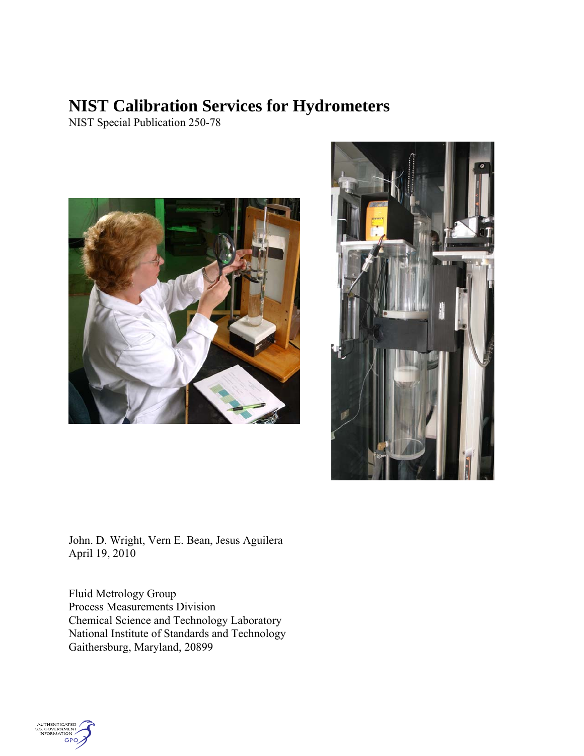# **NIST Calibration Services for Hydrometers**

NIST Special Publication 250-78





John. D. Wright, Vern E. Bean, Jesus Aguilera April 19, 2010

Fluid Metrology Group Process Measurements Division Chemical Science and Technology Laboratory National Institute of Standards and Technology Gaithersburg, Maryland, 20899

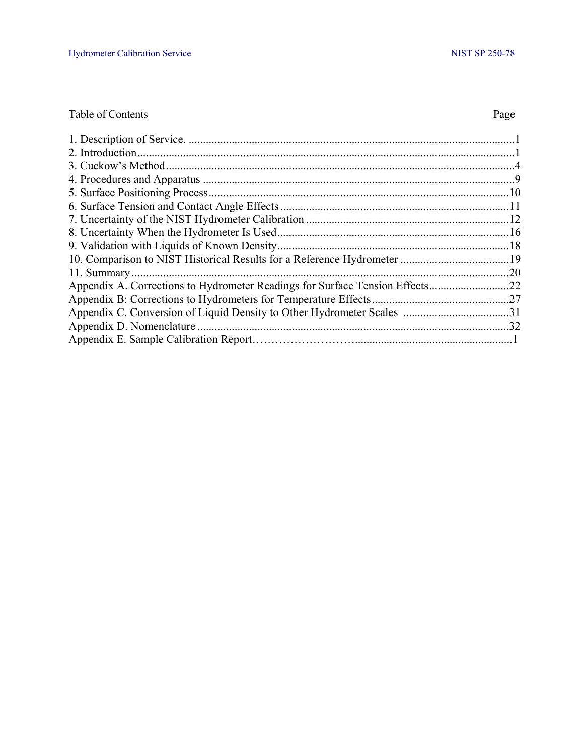## Table of Contents Page

|                          | .20 |
|--------------------------|-----|
|                          |     |
|                          |     |
|                          |     |
| Appendix D. Nomenclature | .32 |
|                          |     |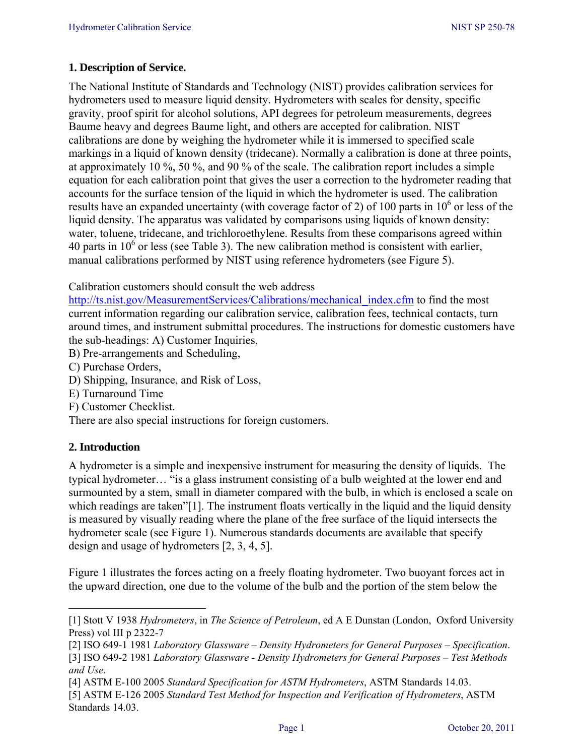## **1. Description of Service.**

The National Institute of Standards and Technology (NIST) provides calibration services for hydrometers used to measure liquid density. Hydrometers with scales for density, specific gravity, proof spirit for alcohol solutions, API degrees for petroleum measurements, degrees Baume heavy and degrees Baume light, and others are accepted for calibration. NIST calibrations are done by weighing the hydrometer while it is immersed to specified scale markings in a liquid of known density (tridecane). Normally a calibration is done at three points, at approximately 10 %, 50 %, and 90 % of the scale. The calibration report includes a simple equation for each calibration point that gives the user a correction to the hydrometer reading that accounts for the surface tension of the liquid in which the hydrometer is used. The calibration results have an expanded uncertainty (with coverage factor of 2) of 100 parts in  $10^6$  or less of the liquid density. The apparatus was validated by comparisons using liquids of known density: water, toluene, tridecane, and trichloroethylene. Results from these comparisons agreed within 40 parts in  $10^6$  or less (see Table 3). The new calibration method is consistent with earlier, manual calibrations performed by NIST using reference hydrometers (see Figure 5).

Calibration customers should consult the web address

http://ts.nist.gov/MeasurementServices/Calibrations/mechanical\_index.cfm to find the most current information regarding our calibration service, calibration fees, technical contacts, turn around times, and instrument submittal procedures. The instructions for domestic customers have the sub-headings: A) Customer Inquiries,

- B) Pre-arrangements and Scheduling,
- C) Purchase Orders,
- D) Shipping, Insurance, and Risk of Loss,
- E) Turnaround Time
- F) Customer Checklist.

There are also special instructions for foreign customers.

## **2. Introduction**

A hydrometer is a simple and inexpensive instrument for measuring the density of liquids. The typical hydrometer… "is a glass instrument consisting of a bulb weighted at the lower end and surmounted by a stem, small in diameter compared with the bulb, in which is enclosed a scale on which readings are taken"[1]. The instrument floats vertically in the liquid and the liquid density is measured by visually reading where the plane of the free surface of the liquid intersects the hydrometer scale (see Figure 1). Numerous standards documents are available that specify design and usage of hydrometers [2, 3, 4, 5].

Figure 1 illustrates the forces acting on a freely floating hydrometer. Two buoyant forces act in the upward direction, one due to the volume of the bulb and the portion of the stem below the

<sup>[1]</sup> Stott V 1938 *Hydrometers*, in *The Science of Petroleum*, ed A E Dunstan (London, Oxford University Press) vol III p 2322-7

<sup>[2]</sup> ISO 649-1 1981 *Laboratory Glassware – Density Hydrometers for General Purposes – Specification*.

<sup>[3]</sup> ISO 649-2 1981 *Laboratory Glassware - Density Hydrometers for General Purposes – Test Methods and Use*.

<sup>[4]</sup> ASTM E-100 2005 *Standard Specification for ASTM Hydrometers*, ASTM Standards 14.03. [5] ASTM E-126 2005 *Standard Test Method for Inspection and Verification of Hydrometers*, ASTM Standards 14.03.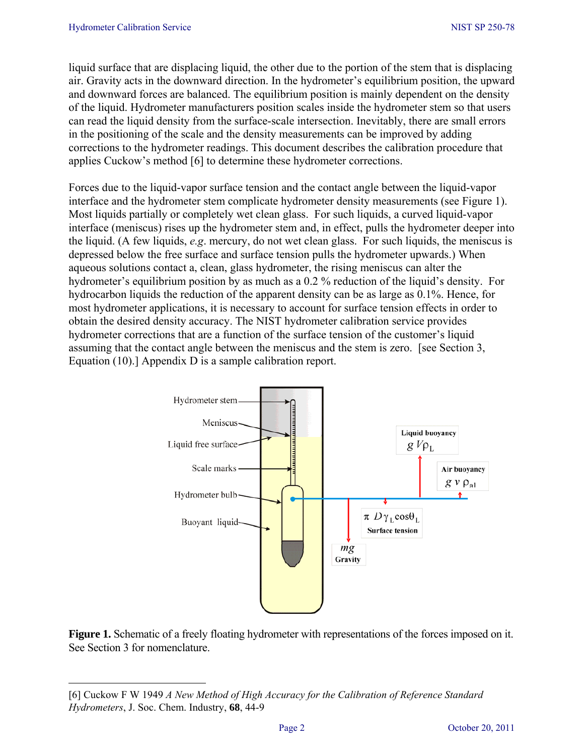liquid surface that are displacing liquid, the other due to the portion of the stem that is displacing air. Gravity acts in the downward direction. In the hydrometer's equilibrium position, the upward and downward forces are balanced. The equilibrium position is mainly dependent on the density of the liquid. Hydrometer manufacturers position scales inside the hydrometer stem so that users can read the liquid density from the surface-scale intersection. Inevitably, there are small errors in the positioning of the scale and the density measurements can be improved by adding corrections to the hydrometer readings. This document describes the calibration procedure that applies Cuckow's method [6] to determine these hydrometer corrections.

Forces due to the liquid-vapor surface tension and the contact angle between the liquid-vapor interface and the hydrometer stem complicate hydrometer density measurements (see Figure 1). Most liquids partially or completely wet clean glass. For such liquids, a curved liquid-vapor interface (meniscus) rises up the hydrometer stem and, in effect, pulls the hydrometer deeper into the liquid. (A few liquids, *e.g*. mercury, do not wet clean glass. For such liquids, the meniscus is depressed below the free surface and surface tension pulls the hydrometer upwards.) When aqueous solutions contact a, clean, glass hydrometer, the rising meniscus can alter the hydrometer's equilibrium position by as much as a 0.2 % reduction of the liquid's density. For hydrocarbon liquids the reduction of the apparent density can be as large as 0.1%. Hence, for most hydrometer applications, it is necessary to account for surface tension effects in order to obtain the desired density accuracy. The NIST hydrometer calibration service provides hydrometer corrections that are a function of the surface tension of the customer's liquid assuming that the contact angle between the meniscus and the stem is zero. [see Section 3, Equation (10).] Appendix D is a sample calibration report.



**Figure 1.** Schematic of a freely floating hydrometer with representations of the forces imposed on it. See Section 3 for nomenclature.

<sup>[6]</sup> Cuckow F W 1949 *A New Method of High Accuracy for the Calibration of Reference Standard Hydrometers*, J. Soc. Chem. Industry, **68**, 44-9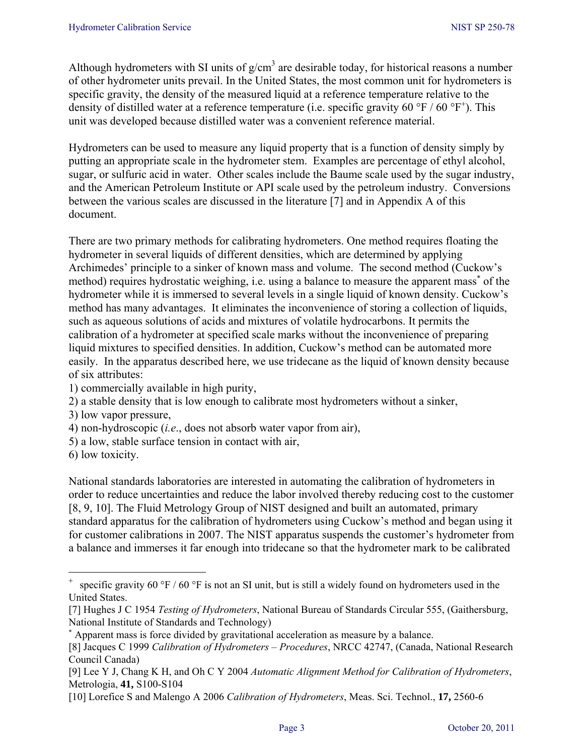Although hydrometers with SI units of  $g/cm<sup>3</sup>$  are desirable today, for historical reasons a number of other hydrometer units prevail. In the United States, the most common unit for hydrometers is specific gravity, the density of the measured liquid at a reference temperature relative to the density of distilled water at a reference temperature (i.e. specific gravity 60 °F / 60 °F<sup>+</sup>). This unit was developed because distilled water was a convenient reference material.

Hydrometers can be used to measure any liquid property that is a function of density simply by putting an appropriate scale in the hydrometer stem. Examples are percentage of ethyl alcohol, sugar, or sulfuric acid in water. Other scales include the Baume scale used by the sugar industry, and the American Petroleum Institute or API scale used by the petroleum industry. Conversions between the various scales are discussed in the literature [7] and in Appendix A of this document.

There are two primary methods for calibrating hydrometers. One method requires floating the hydrometer in several liquids of different densities, which are determined by applying Archimedes' principle to a sinker of known mass and volume. The second method (Cuckow's method) requires hydrostatic weighing, i.e. using a balance to measure the apparent mass<sup>\*</sup> of the hydrometer while it is immersed to several levels in a single liquid of known density. Cuckow's method has many advantages. It eliminates the inconvenience of storing a collection of liquids, such as aqueous solutions of acids and mixtures of volatile hydrocarbons. It permits the calibration of a hydrometer at specified scale marks without the inconvenience of preparing liquid mixtures to specified densities. In addition, Cuckow's method can be automated more easily. In the apparatus described here, we use tridecane as the liquid of known density because of six attributes:

- 1) commercially available in high purity,
- 2) a stable density that is low enough to calibrate most hydrometers without a sinker,
- 3) low vapor pressure,
- 4) non-hydroscopic (*i.e*., does not absorb water vapor from air),
- 5) a low, stable surface tension in contact with air,
- 6) low toxicity.

÷,

National standards laboratories are interested in automating the calibration of hydrometers in order to reduce uncertainties and reduce the labor involved thereby reducing cost to the customer [8, 9, 10]. The Fluid Metrology Group of NIST designed and built an automated, primary standard apparatus for the calibration of hydrometers using Cuckow's method and began using it for customer calibrations in 2007. The NIST apparatus suspends the customer's hydrometer from a balance and immerses it far enough into tridecane so that the hydrometer mark to be calibrated

specific gravity 60 °F / 60 °F is not an SI unit, but is still a widely found on hydrometers used in the United States.

<sup>[7]</sup> Hughes J C 1954 *Testing of Hydrometers*, National Bureau of Standards Circular 555, (Gaithersburg, National Institute of Standards and Technology)

<sup>∗</sup> Apparent mass is force divided by gravitational acceleration as measure by a balance.

<sup>[8]</sup> Jacques C 1999 *Calibration of Hydrometers – Procedures*, NRCC 42747, (Canada, National Research Council Canada)

<sup>[9]</sup> Lee Y J, Chang K H, and Oh C Y 2004 *Automatic Alignment Method for Calibration of Hydrometers*, Metrologia, **41,** S100-S104

<sup>[10]</sup> Lorefice S and Malengo A 2006 *Calibration of Hydrometers*, Meas. Sci. Technol., **17,** 2560-6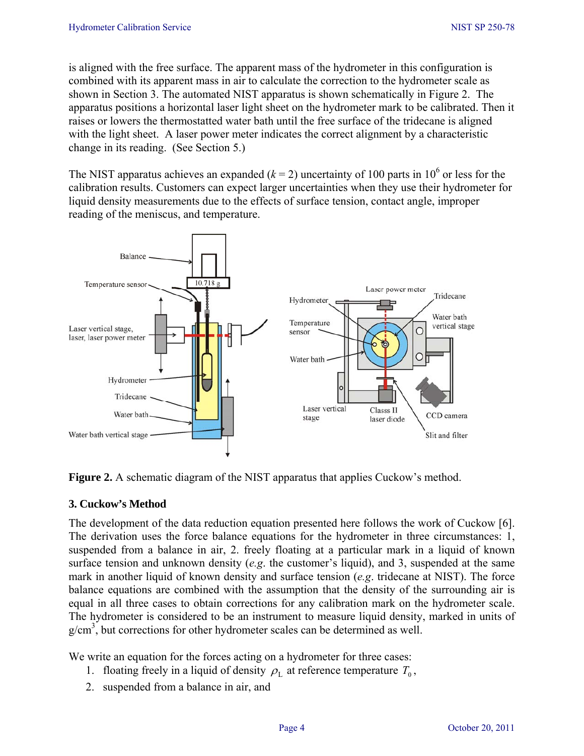is aligned with the free surface. The apparent mass of the hydrometer in this configuration is combined with its apparent mass in air to calculate the correction to the hydrometer scale as shown in Section 3. The automated NIST apparatus is shown schematically in Figure 2. The apparatus positions a horizontal laser light sheet on the hydrometer mark to be calibrated. Then it raises or lowers the thermostatted water bath until the free surface of the tridecane is aligned with the light sheet. A laser power meter indicates the correct alignment by a characteristic change in its reading. (See Section 5.)

The NIST apparatus achieves an expanded  $(k = 2)$  uncertainty of 100 parts in 10<sup>6</sup> or less for the calibration results. Customers can expect larger uncertainties when they use their hydrometer for liquid density measurements due to the effects of surface tension, contact angle, improper reading of the meniscus, and temperature.



**Figure 2.** A schematic diagram of the NIST apparatus that applies Cuckow's method.

## **3. Cuckow's Method**

The development of the data reduction equation presented here follows the work of Cuckow [6]. The derivation uses the force balance equations for the hydrometer in three circumstances: 1, suspended from a balance in air, 2. freely floating at a particular mark in a liquid of known surface tension and unknown density (*e.g*. the customer's liquid), and 3, suspended at the same mark in another liquid of known density and surface tension (*e.g*. tridecane at NIST). The force balance equations are combined with the assumption that the density of the surrounding air is equal in all three cases to obtain corrections for any calibration mark on the hydrometer scale. The hydrometer is considered to be an instrument to measure liquid density, marked in units of  $g/cm<sup>3</sup>$ , but corrections for other hydrometer scales can be determined as well.

We write an equation for the forces acting on a hydrometer for three cases:

- 1. floating freely in a liquid of density  $\rho_L$  at reference temperature  $T_0$ ,
- 2. suspended from a balance in air, and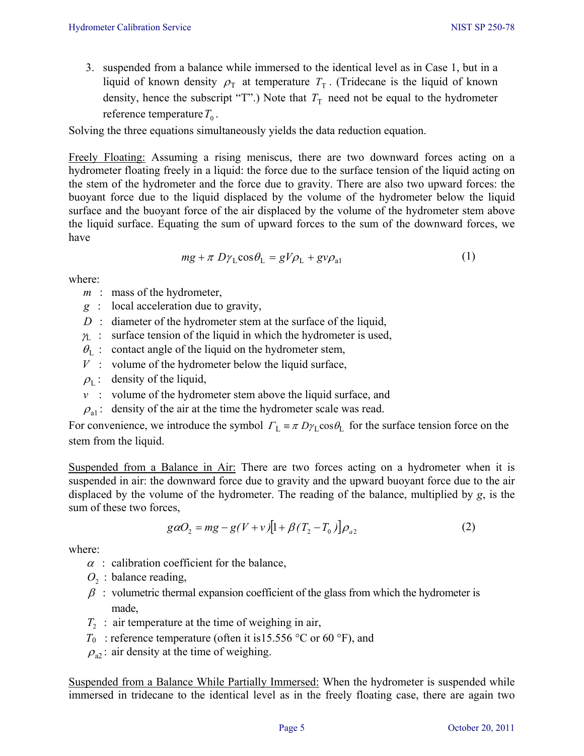3. suspended from a balance while immersed to the identical level as in Case 1, but in a liquid of known density  $\rho_T$  at temperature  $T_T$ . (Tridecane is the liquid of known density, hence the subscript "T".) Note that  $T<sub>T</sub>$  need not be equal to the hydrometer reference temperature  $T_0$ .

Solving the three equations simultaneously yields the data reduction equation.

Freely Floating: Assuming a rising meniscus, there are two downward forces acting on a hydrometer floating freely in a liquid: the force due to the surface tension of the liquid acting on the stem of the hydrometer and the force due to gravity. There are also two upward forces: the buoyant force due to the liquid displaced by the volume of the hydrometer below the liquid surface and the buoyant force of the air displaced by the volume of the hydrometer stem above the liquid surface. Equating the sum of upward forces to the sum of the downward forces, we have

$$
mg + \pi D\gamma_L \cos\theta_L = gV\rho_L + g\nu\rho_{a1}
$$
 (1)

where:

- *m* : mass of the hydrometer,
- *g* : local acceleration due to gravity,
- *D* : diameter of the hydrometer stem at the surface of the liquid,
- $\gamma_L$ : surface tension of the liquid in which the hydrometer is used,
- $\theta_{\rm L}$  : contact angle of the liquid on the hydrometer stem,
- $V$  : volume of the hydrometer below the liquid surface,
- $\rho_L$ : density of the liquid,
- $v$  : volume of the hydrometer stem above the liquid surface, and
- $\rho_{a1}$ : density of the air at the time the hydrometer scale was read.

For convenience, we introduce the symbol  $\Gamma_L = \pi D \gamma_L \cos \theta_L$  for the surface tension force on the stem from the liquid.

Suspended from a Balance in Air: There are two forces acting on a hydrometer when it is suspended in air: the downward force due to gravity and the upward buoyant force due to the air displaced by the volume of the hydrometer. The reading of the balance, multiplied by *g*, is the sum of these two forces,

$$
g\alpha O_2 = mg - g(V + v)[1 + \beta(T_2 - T_0)]\rho_{a2}
$$
 (2)

where:

- $\alpha$ : calibration coefficient for the balance,
- $O<sub>2</sub>$ : balance reading,
- $\beta$ : volumetric thermal expansion coefficient of the glass from which the hydrometer is made,
- $T<sub>2</sub>$ : air temperature at the time of weighing in air,
- $T_0$ : reference temperature (often it is15.556 °C or 60 °F), and
- $\rho_{a2}$ : air density at the time of weighing.

Suspended from a Balance While Partially Immersed: When the hydrometer is suspended while immersed in tridecane to the identical level as in the freely floating case, there are again two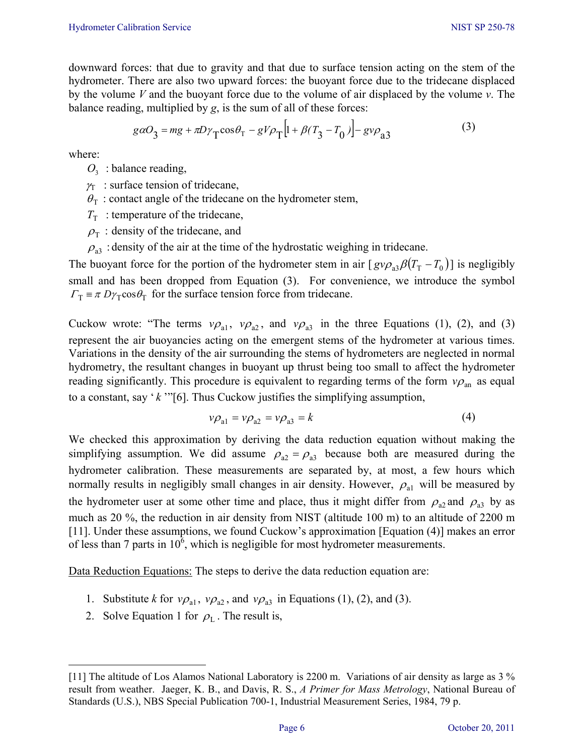downward forces: that due to gravity and that due to surface tension acting on the stem of the hydrometer. There are also two upward forces: the buoyant force due to the tridecane displaced by the volume *V* and the buoyant force due to the volume of air displaced by the volume *v*. The balance reading, multiplied by *g*, is the sum of all of these forces:

$$
g\alpha O_3 = mg + \pi D\gamma_{\text{T}}\cos\theta_{\text{T}} - gV\rho_{\text{T}}\left[1 + \beta(T_3 - T_0)\right] - g\nu\rho_{a3} \tag{3}
$$

where:

- $O_3$ : balance reading,
- $y_T$ : surface tension of tridecane,
- $\theta_{\rm T}$ : contact angle of the tridecane on the hydrometer stem,
- $T<sub>T</sub>$ : temperature of the tridecane,
- $\rho_{\rm T}$ : density of the tridecane, and
- $\rho_{33}$ : density of the air at the time of the hydrostatic weighing in tridecane.

The buoyant force for the portion of the hydrometer stem in air  $[gv\rho_{a3}\beta(T_{T}-T_{0})]$  is negligibly small and has been dropped from Equation (3). For convenience, we introduce the symbol  $\Gamma_{\rm T} \equiv \pi D \gamma_{\rm T} \cos \theta_{\rm T}$  for the surface tension force from tridecane.

Cuckow wrote: "The terms  $v\rho_{a1}$ ,  $v\rho_{a2}$ , and  $v\rho_{a3}$  in the three Equations (1), (2), and (3) represent the air buoyancies acting on the emergent stems of the hydrometer at various times. Variations in the density of the air surrounding the stems of hydrometers are neglected in normal hydrometry, the resultant changes in buoyant up thrust being too small to affect the hydrometer reading significantly. This procedure is equivalent to regarding terms of the form  $v_{\rho_{an}}$  as equal to a constant, say ' *k* '"[6]. Thus Cuckow justifies the simplifying assumption,

$$
\nu \rho_{a1} = \nu \rho_{a2} = \nu \rho_{a3} = k \tag{4}
$$

We checked this approximation by deriving the data reduction equation without making the simplifying assumption. We did assume  $\rho_{a2} = \rho_{a3}$  because both are measured during the hydrometer calibration. These measurements are separated by, at most, a few hours which normally results in negligibly small changes in air density. However,  $\rho_{a1}$  will be measured by the hydrometer user at some other time and place, thus it might differ from  $\rho_{a2}$  and  $\rho_{a3}$  by as much as 20 %, the reduction in air density from NIST (altitude 100 m) to an altitude of 2200 m [11]. Under these assumptions, we found Cuckow's approximation [Equation (4)] makes an error of less than 7 parts in  $10^6$ , which is negligible for most hydrometer measurements.

Data Reduction Equations: The steps to derive the data reduction equation are:

- 1. Substitute *k* for  $v\rho_{a1}$ ,  $v\rho_{a2}$ , and  $v\rho_{a3}$  in Equations (1), (2), and (3).
- 2. Solve Equation 1 for  $\rho_L$ . The result is,

<sup>[11]</sup> The altitude of Los Alamos National Laboratory is 2200 m. Variations of air density as large as 3 % result from weather. Jaeger, K. B., and Davis, R. S., *A Primer for Mass Metrology*, National Bureau of Standards (U.S.), NBS Special Publication 700-1, Industrial Measurement Series, 1984, 79 p.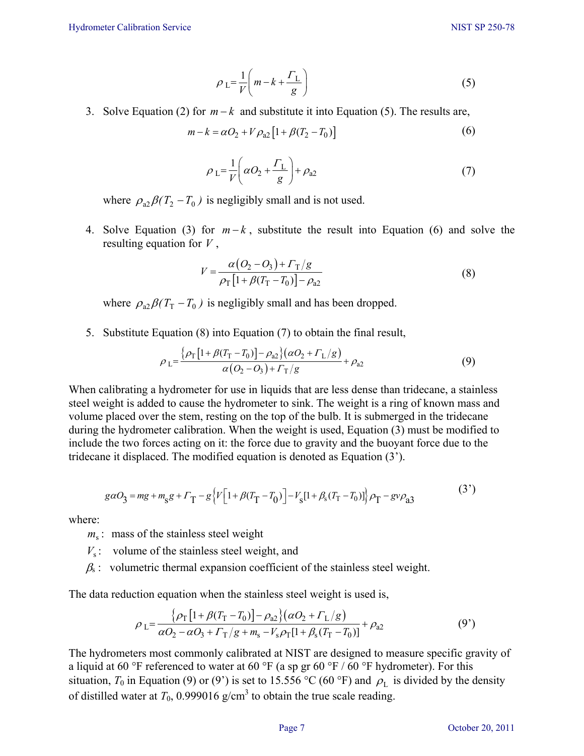$$
\rho_L = \frac{1}{V} \left( m - k + \frac{\Gamma_L}{g} \right) \tag{5}
$$

3. Solve Equation (2) for *m* − *k* and substitute it into Equation (5). The results are,

$$
m - k = \alpha O_2 + V \rho_{a2} [1 + \beta (T_2 - T_0)] \tag{6}
$$

$$
\rho_L = \frac{1}{V} \left( \alpha O_2 + \frac{\Gamma_L}{g} \right) + \rho_{a2} \tag{7}
$$

where  $\rho_{a2}\beta(T_2 - T_0)$  is negligibly small and is not used.

4. Solve Equation (3) for *m* − *k* , substitute the result into Equation (6) and solve the resulting equation for *V* ,

$$
V = \frac{\alpha (O_2 - O_3) + \Gamma_{\rm T}/g}{\rho_{\rm T} [1 + \beta (\Gamma_{\rm T} - T_0)] - \rho_{\rm a2}}
$$
(8)

where  $\rho_{a2}\beta(T_T - T_0)$  is negligibly small and has been dropped.

5. Substitute Equation (8) into Equation (7) to obtain the final result,

$$
\rho_{\rm L} = \frac{\{\rho_{\rm T}\left[1+\beta(T_{\rm T}-T_0)\right]-\rho_{\rm a2}\}\left(\alpha O_2 + \Gamma_{\rm L}/g\right)}{\alpha (O_2-O_3) + \Gamma_{\rm T}/g} + \rho_{\rm a2} \tag{9}
$$

When calibrating a hydrometer for use in liquids that are less dense than tridecane, a stainless steel weight is added to cause the hydrometer to sink. The weight is a ring of known mass and volume placed over the stem, resting on the top of the bulb. It is submerged in the tridecane during the hydrometer calibration. When the weight is used, Equation (3) must be modified to include the two forces acting on it: the force due to gravity and the buoyant force due to the tridecane it displaced. The modified equation is denoted as Equation (3').

$$
g\alpha O_3 = mg + m_s g + \Gamma_T - g \left\{ V \left[ 1 + \beta (T_T - T_0) \right] - V_s [1 + \beta_s (T_T - T_0)] \right\} \rho_T - g \nu \rho_{a3}
$$
\n(3')

where:

 $m<sub>s</sub>$ : mass of the stainless steel weight

 $V_s$ : volume of the stainless steel weight, and

 $\beta$ <sub>s</sub>: volumetric thermal expansion coefficient of the stainless steel weight.

The data reduction equation when the stainless steel weight is used is,

$$
\rho_{L} = \frac{\{\rho_{T} [1 + \beta(T_{T} - T_{0})] - \rho_{a2}\} (\alpha O_{2} + \Gamma_{L}/g)}{\alpha O_{2} - \alpha O_{3} + \Gamma_{T}/g + m_{s} - V_{s}\rho_{T} [1 + \beta_{s}(T_{T} - T_{0})]} + \rho_{a2}
$$
\n(9')

The hydrometers most commonly calibrated at NIST are designed to measure specific gravity of a liquid at 60 °F referenced to water at 60 °F (a sp gr 60 °F / 60 °F hydrometer). For this situation, *T*<sub>0</sub> in Equation (9) or (9') is set to 15.556 °C (60 °F) and  $\rho$ <sub>L</sub> is divided by the density of distilled water at  $T_0$ , 0.999016 g/cm<sup>3</sup> to obtain the true scale reading.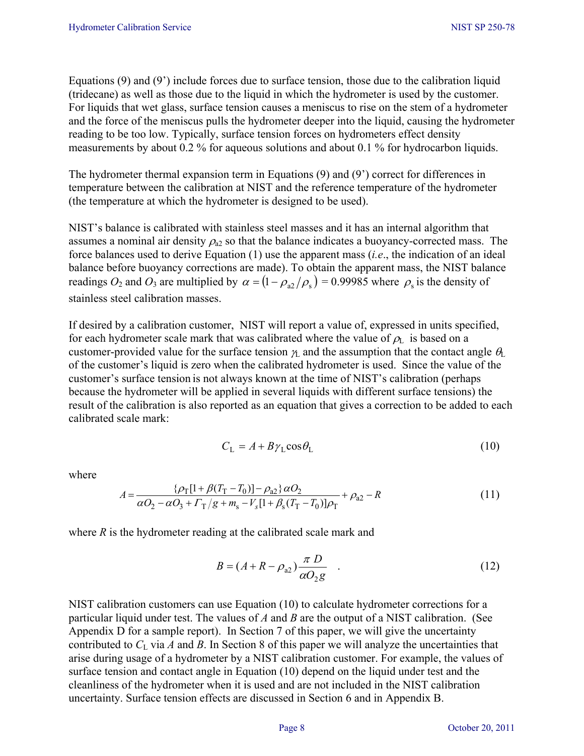Equations (9) and (9') include forces due to surface tension, those due to the calibration liquid (tridecane) as well as those due to the liquid in which the hydrometer is used by the customer. For liquids that wet glass, surface tension causes a meniscus to rise on the stem of a hydrometer and the force of the meniscus pulls the hydrometer deeper into the liquid, causing the hydrometer reading to be too low. Typically, surface tension forces on hydrometers effect density measurements by about 0.2 % for aqueous solutions and about 0.1 % for hydrocarbon liquids.

The hydrometer thermal expansion term in Equations (9) and (9') correct for differences in temperature between the calibration at NIST and the reference temperature of the hydrometer (the temperature at which the hydrometer is designed to be used).

NIST's balance is calibrated with stainless steel masses and it has an internal algorithm that assumes a nominal air density  $\rho_{a2}$  so that the balance indicates a buoyancy-corrected mass. The force balances used to derive Equation (1) use the apparent mass (*i.e*., the indication of an ideal balance before buoyancy corrections are made). To obtain the apparent mass, the NIST balance readings  $O_2$  and  $O_3$  are multiplied by  $\alpha = (1 - \rho_{a2}/\rho_s) = 0.99985$  where  $\rho_s$  is the density of stainless steel calibration masses.

If desired by a calibration customer, NIST will report a value of, expressed in units specified, for each hydrometer scale mark that was calibrated where the value of  $\rho_L$  is based on a customer-provided value for the surface tension  $\gamma_L$  and the assumption that the contact angle  $\theta_L$ of the customer's liquid is zero when the calibrated hydrometer is used. Since the value of the customer's surface tension is not always known at the time of NIST's calibration (perhaps because the hydrometer will be applied in several liquids with different surface tensions) the result of the calibration is also reported as an equation that gives a correction to be added to each calibrated scale mark:

$$
C_{\rm L} = A + B\gamma_{\rm L}\cos\theta_{\rm L} \tag{10}
$$

where

$$
A = \frac{\{\rho_{\rm T}[1 + \beta(T_{\rm T} - T_0)] - \rho_{a2}\}\,\alpha O_2}{\alpha O_2 - \alpha O_3 + \Gamma_{\rm T}/g + m_{\rm s} - V_{\rm s}[1 + \beta_{\rm s}(T_{\rm T} - T_0)]\rho_{\rm T}} + \rho_{a2} - R
$$
\n(11)

where *R* is the hydrometer reading at the calibrated scale mark and

$$
B = (A + R - \rho_{a2}) \frac{\pi D}{\alpha O_2 g} \quad . \tag{12}
$$

NIST calibration customers can use Equation (10) to calculate hydrometer corrections for a particular liquid under test. The values of *A* and *B* are the output of a NIST calibration. (See Appendix D for a sample report). In Section 7 of this paper, we will give the uncertainty contributed to  $C_L$  via *A* and *B*. In Section 8 of this paper we will analyze the uncertainties that arise during usage of a hydrometer by a NIST calibration customer. For example, the values of surface tension and contact angle in Equation (10) depend on the liquid under test and the cleanliness of the hydrometer when it is used and are not included in the NIST calibration uncertainty. Surface tension effects are discussed in Section 6 and in Appendix B.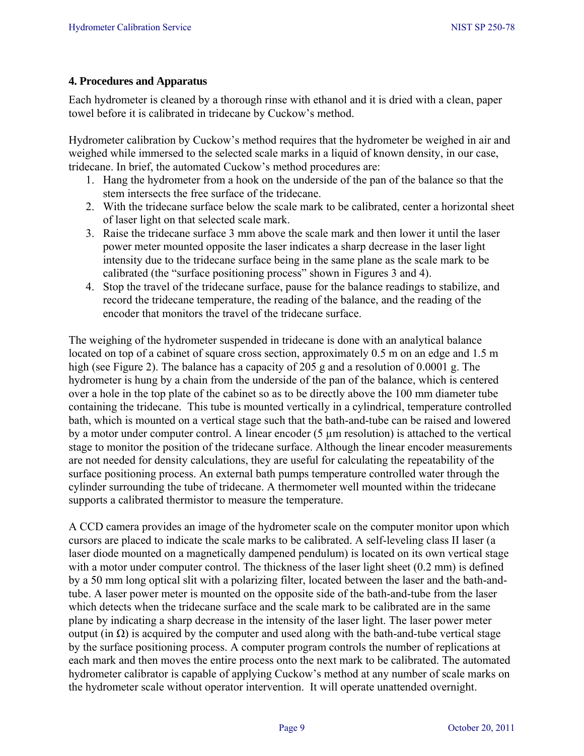## **4. Procedures and Apparatus**

Each hydrometer is cleaned by a thorough rinse with ethanol and it is dried with a clean, paper towel before it is calibrated in tridecane by Cuckow's method.

Hydrometer calibration by Cuckow's method requires that the hydrometer be weighed in air and weighed while immersed to the selected scale marks in a liquid of known density, in our case, tridecane. In brief, the automated Cuckow's method procedures are:

- 1. Hang the hydrometer from a hook on the underside of the pan of the balance so that the stem intersects the free surface of the tridecane.
- 2. With the tridecane surface below the scale mark to be calibrated, center a horizontal sheet of laser light on that selected scale mark.
- 3. Raise the tridecane surface 3 mm above the scale mark and then lower it until the laser power meter mounted opposite the laser indicates a sharp decrease in the laser light intensity due to the tridecane surface being in the same plane as the scale mark to be calibrated (the "surface positioning process" shown in Figures 3 and 4).
- 4. Stop the travel of the tridecane surface, pause for the balance readings to stabilize, and record the tridecane temperature, the reading of the balance, and the reading of the encoder that monitors the travel of the tridecane surface.

The weighing of the hydrometer suspended in tridecane is done with an analytical balance located on top of a cabinet of square cross section, approximately 0.5 m on an edge and 1.5 m high (see Figure 2). The balance has a capacity of 205 g and a resolution of 0.0001 g. The hydrometer is hung by a chain from the underside of the pan of the balance, which is centered over a hole in the top plate of the cabinet so as to be directly above the 100 mm diameter tube containing the tridecane. This tube is mounted vertically in a cylindrical, temperature controlled bath, which is mounted on a vertical stage such that the bath-and-tube can be raised and lowered by a motor under computer control. A linear encoder (5 µm resolution) is attached to the vertical stage to monitor the position of the tridecane surface. Although the linear encoder measurements are not needed for density calculations, they are useful for calculating the repeatability of the surface positioning process. An external bath pumps temperature controlled water through the cylinder surrounding the tube of tridecane. A thermometer well mounted within the tridecane supports a calibrated thermistor to measure the temperature.

A CCD camera provides an image of the hydrometer scale on the computer monitor upon which cursors are placed to indicate the scale marks to be calibrated. A self-leveling class II laser (a laser diode mounted on a magnetically dampened pendulum) is located on its own vertical stage with a motor under computer control. The thickness of the laser light sheet  $(0.2 \text{ mm})$  is defined by a 50 mm long optical slit with a polarizing filter, located between the laser and the bath-andtube. A laser power meter is mounted on the opposite side of the bath-and-tube from the laser which detects when the tridecane surface and the scale mark to be calibrated are in the same plane by indicating a sharp decrease in the intensity of the laser light. The laser power meter output (in Ω) is acquired by the computer and used along with the bath-and-tube vertical stage by the surface positioning process. A computer program controls the number of replications at each mark and then moves the entire process onto the next mark to be calibrated. The automated hydrometer calibrator is capable of applying Cuckow's method at any number of scale marks on the hydrometer scale without operator intervention. It will operate unattended overnight.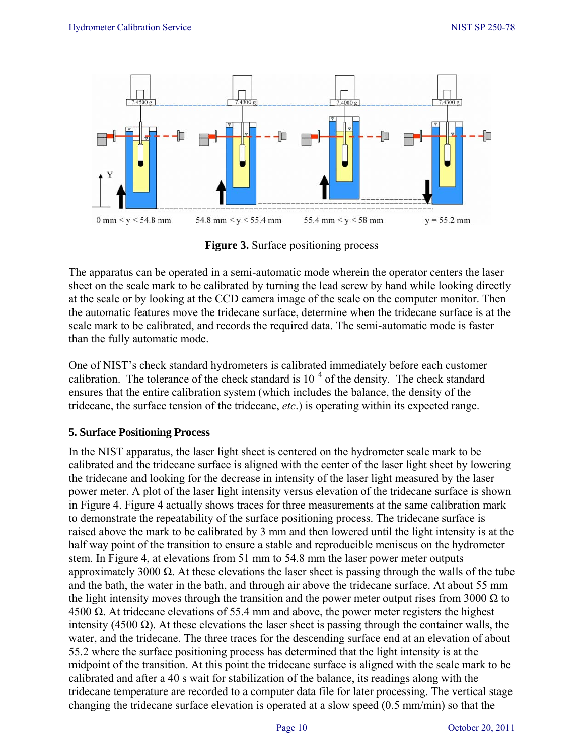

**Figure 3.** Surface positioning process

The apparatus can be operated in a semi-automatic mode wherein the operator centers the laser sheet on the scale mark to be calibrated by turning the lead screw by hand while looking directly at the scale or by looking at the CCD camera image of the scale on the computer monitor. Then the automatic features move the tridecane surface, determine when the tridecane surface is at the scale mark to be calibrated, and records the required data. The semi-automatic mode is faster than the fully automatic mode.

One of NIST's check standard hydrometers is calibrated immediately before each customer calibration. The tolerance of the check standard is  $10^{-4}$  of the density. The check standard ensures that the entire calibration system (which includes the balance, the density of the tridecane, the surface tension of the tridecane, *etc*.) is operating within its expected range.

#### **5. Surface Positioning Process**

In the NIST apparatus, the laser light sheet is centered on the hydrometer scale mark to be calibrated and the tridecane surface is aligned with the center of the laser light sheet by lowering the tridecane and looking for the decrease in intensity of the laser light measured by the laser power meter. A plot of the laser light intensity versus elevation of the tridecane surface is shown in Figure 4. Figure 4 actually shows traces for three measurements at the same calibration mark to demonstrate the repeatability of the surface positioning process. The tridecane surface is raised above the mark to be calibrated by 3 mm and then lowered until the light intensity is at the half way point of the transition to ensure a stable and reproducible meniscus on the hydrometer stem. In Figure 4, at elevations from 51 mm to 54.8 mm the laser power meter outputs approximately 3000  $\Omega$ . At these elevations the laser sheet is passing through the walls of the tube and the bath, the water in the bath, and through air above the tridecane surface. At about 55 mm the light intensity moves through the transition and the power meter output rises from 3000  $\Omega$  to 4500 Ω. At tridecane elevations of 55.4 mm and above, the power meter registers the highest intensity (4500 Ω). At these elevations the laser sheet is passing through the container walls, the water, and the tridecane. The three traces for the descending surface end at an elevation of about 55.2 where the surface positioning process has determined that the light intensity is at the midpoint of the transition. At this point the tridecane surface is aligned with the scale mark to be calibrated and after a 40 s wait for stabilization of the balance, its readings along with the tridecane temperature are recorded to a computer data file for later processing. The vertical stage changing the tridecane surface elevation is operated at a slow speed (0.5 mm/min) so that the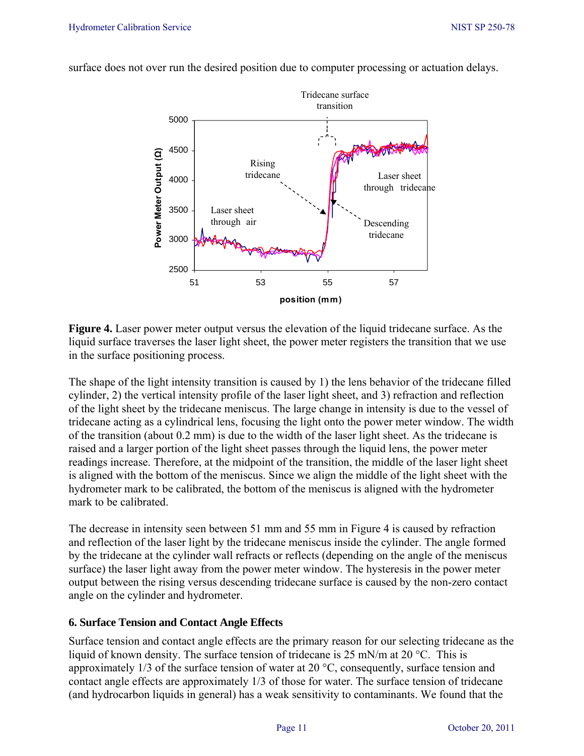

surface does not over run the desired position due to computer processing or actuation delays.

**Figure 4.** Laser power meter output versus the elevation of the liquid tridecane surface. As the liquid surface traverses the laser light sheet, the power meter registers the transition that we use in the surface positioning process.

The shape of the light intensity transition is caused by 1) the lens behavior of the tridecane filled cylinder, 2) the vertical intensity profile of the laser light sheet, and 3) refraction and reflection of the light sheet by the tridecane meniscus. The large change in intensity is due to the vessel of tridecane acting as a cylindrical lens, focusing the light onto the power meter window. The width of the transition (about 0.2 mm) is due to the width of the laser light sheet. As the tridecane is raised and a larger portion of the light sheet passes through the liquid lens, the power meter readings increase. Therefore, at the midpoint of the transition, the middle of the laser light sheet is aligned with the bottom of the meniscus. Since we align the middle of the light sheet with the hydrometer mark to be calibrated, the bottom of the meniscus is aligned with the hydrometer mark to be calibrated.

The decrease in intensity seen between 51 mm and 55 mm in Figure 4 is caused by refraction and reflection of the laser light by the tridecane meniscus inside the cylinder. The angle formed by the tridecane at the cylinder wall refracts or reflects (depending on the angle of the meniscus surface) the laser light away from the power meter window. The hysteresis in the power meter output between the rising versus descending tridecane surface is caused by the non-zero contact angle on the cylinder and hydrometer.

#### **6. Surface Tension and Contact Angle Effects**

Surface tension and contact angle effects are the primary reason for our selecting tridecane as the liquid of known density. The surface tension of tridecane is 25 mN/m at 20 °C. This is approximately 1/3 of the surface tension of water at 20 °C, consequently, surface tension and contact angle effects are approximately 1/3 of those for water. The surface tension of tridecane (and hydrocarbon liquids in general) has a weak sensitivity to contaminants. We found that the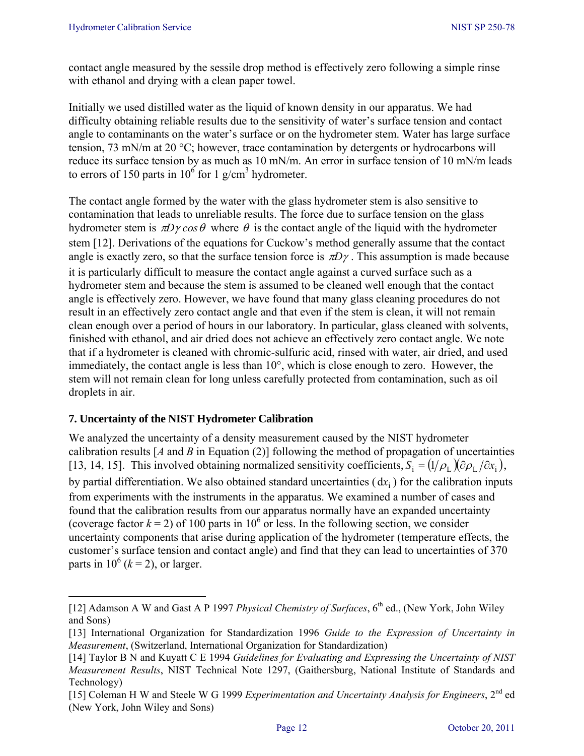contact angle measured by the sessile drop method is effectively zero following a simple rinse with ethanol and drying with a clean paper towel.

Initially we used distilled water as the liquid of known density in our apparatus. We had difficulty obtaining reliable results due to the sensitivity of water's surface tension and contact angle to contaminants on the water's surface or on the hydrometer stem. Water has large surface tension, 73 mN/m at 20 °C; however, trace contamination by detergents or hydrocarbons will reduce its surface tension by as much as 10 mN/m. An error in surface tension of 10 mN/m leads to errors of 150 parts in  $10^6$  for 1 g/cm<sup>3</sup> hydrometer.

The contact angle formed by the water with the glass hydrometer stem is also sensitive to contamination that leads to unreliable results. The force due to surface tension on the glass hydrometer stem is  $\pi D\gamma cos\theta$  where  $\theta$  is the contact angle of the liquid with the hydrometer stem [12]. Derivations of the equations for Cuckow's method generally assume that the contact angle is exactly zero, so that the surface tension force is  $\pi D\gamma$ . This assumption is made because it is particularly difficult to measure the contact angle against a curved surface such as a hydrometer stem and because the stem is assumed to be cleaned well enough that the contact angle is effectively zero. However, we have found that many glass cleaning procedures do not result in an effectively zero contact angle and that even if the stem is clean, it will not remain clean enough over a period of hours in our laboratory. In particular, glass cleaned with solvents, finished with ethanol, and air dried does not achieve an effectively zero contact angle. We note that if a hydrometer is cleaned with chromic-sulfuric acid, rinsed with water, air dried, and used immediately, the contact angle is less than 10°, which is close enough to zero. However, the stem will not remain clean for long unless carefully protected from contamination, such as oil droplets in air.

## **7. Uncertainty of the NIST Hydrometer Calibration**

We analyzed the uncertainty of a density measurement caused by the NIST hydrometer calibration results  $[A \text{ and } B \text{ in } \text{Equation (2)}]$  following the method of propagation of uncertainties [13, 14, 15]. This involved obtaining normalized sensitivity coefficients,  $S_i = (1/\rho_L)(\partial \rho_L / \partial x_i)$ , by partial differentiation. We also obtained standard uncertainties  $(dx<sub>i</sub>)$  for the calibration inputs from experiments with the instruments in the apparatus. We examined a number of cases and found that the calibration results from our apparatus normally have an expanded uncertainty (coverage factor  $k = 2$ ) of 100 parts in 10<sup>6</sup> or less. In the following section, we consider uncertainty components that arise during application of the hydrometer (temperature effects, the customer's surface tension and contact angle) and find that they can lead to uncertainties of 370 parts in  $10^6$  ( $k = 2$ ), or larger.

<sup>[12]</sup> Adamson A W and Gast A P 1997 *Physical Chemistry of Surfaces*, 6<sup>th</sup> ed., (New York, John Wiley and Sons)

<sup>[13]</sup> International Organization for Standardization 1996 *Guide to the Expression of Uncertainty in Measurement*, (Switzerland, International Organization for Standardization)

<sup>[14]</sup> Taylor B N and Kuyatt C E 1994 *Guidelines for Evaluating and Expressing the Uncertainty of NIST Measurement Results*, NIST Technical Note 1297, (Gaithersburg, National Institute of Standards and Technology)

<sup>[15]</sup> Coleman H W and Steele W G 1999 *Experimentation and Uncertainty Analysis for Engineers*, 2nd ed (New York, John Wiley and Sons)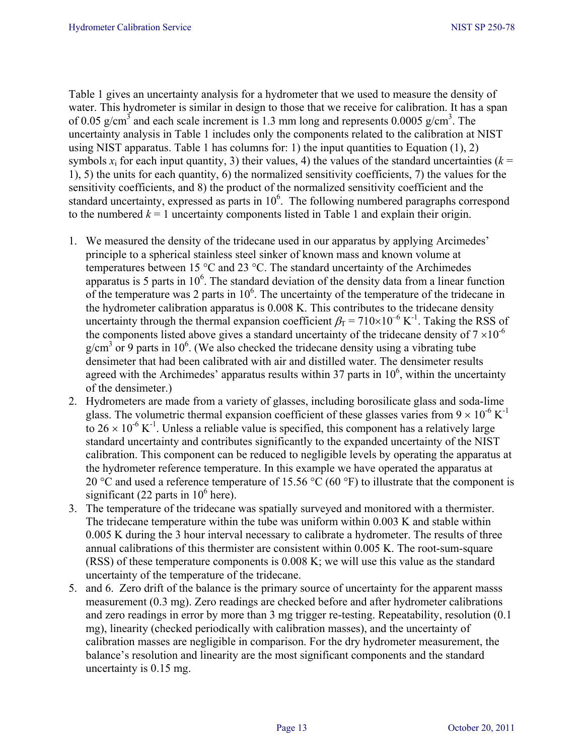Table 1 gives an uncertainty analysis for a hydrometer that we used to measure the density of water. This hydrometer is similar in design to those that we receive for calibration. It has a span of 0.05 g/cm<sup>3</sup> and each scale increment is 1.3 mm long and represents 0.0005 g/cm<sup>3</sup>. The uncertainty analysis in Table 1 includes only the components related to the calibration at NIST using NIST apparatus. Table 1 has columns for: 1) the input quantities to Equation  $(1)$ , 2) symbols  $x_i$  for each input quantity, 3) their values, 4) the values of the standard uncertainties ( $k =$ 1), 5) the units for each quantity, 6) the normalized sensitivity coefficients, 7) the values for the sensitivity coefficients, and 8) the product of the normalized sensitivity coefficient and the standard uncertainty, expressed as parts in  $10<sup>6</sup>$ . The following numbered paragraphs correspond to the numbered  $k = 1$  uncertainty components listed in Table 1 and explain their origin.

- 1. We measured the density of the tridecane used in our apparatus by applying Arcimedes' principle to a spherical stainless steel sinker of known mass and known volume at temperatures between 15 °C and 23 °C. The standard uncertainty of the Archimedes apparatus is 5 parts in  $10<sup>6</sup>$ . The standard deviation of the density data from a linear function of the temperature was 2 parts in  $10<sup>6</sup>$ . The uncertainty of the temperature of the tridecane in the hydrometer calibration apparatus is 0.008 K. This contributes to the tridecane density uncertainty through the thermal expansion coefficient  $\beta_{\text{F}} = 710 \times 10^{-6} \text{ K}^{-1}$ . Taking the RSS of the components listed above gives a standard uncertainty of the tridecane density of  $7 \times 10^{-6}$  $g/cm<sup>3</sup>$  or 9 parts in 10<sup>6</sup>. (We also checked the tridecane density using a vibrating tube densimeter that had been calibrated with air and distilled water. The densimeter results agreed with the Archimedes' apparatus results within 37 parts in  $10<sup>6</sup>$ , within the uncertainty of the densimeter.)
- 2. Hydrometers are made from a variety of glasses, including borosilicate glass and soda-lime glass. The volumetric thermal expansion coefficient of these glasses varies from  $9 \times 10^{-6}$  K<sup>-1</sup> to  $26 \times 10^{-6}$  K<sup>-1</sup>. Unless a reliable value is specified, this component has a relatively large standard uncertainty and contributes significantly to the expanded uncertainty of the NIST calibration. This component can be reduced to negligible levels by operating the apparatus at the hydrometer reference temperature. In this example we have operated the apparatus at 20 °C and used a reference temperature of 15.56 °C (60 °F) to illustrate that the component is significant (22 parts in  $10^6$  here).
- 3. The temperature of the tridecane was spatially surveyed and monitored with a thermister. The tridecane temperature within the tube was uniform within 0.003 K and stable within 0.005 K during the 3 hour interval necessary to calibrate a hydrometer. The results of three annual calibrations of this thermister are consistent within 0.005 K. The root-sum-square (RSS) of these temperature components is 0.008 K; we will use this value as the standard uncertainty of the temperature of the tridecane.
- 5. and 6. Zero drift of the balance is the primary source of uncertainty for the apparent masss measurement (0.3 mg). Zero readings are checked before and after hydrometer calibrations and zero readings in error by more than 3 mg trigger re-testing. Repeatability, resolution (0.1 mg), linearity (checked periodically with calibration masses), and the uncertainty of calibration masses are negligible in comparison. For the dry hydrometer measurement, the balance's resolution and linearity are the most significant components and the standard uncertainty is 0.15 mg.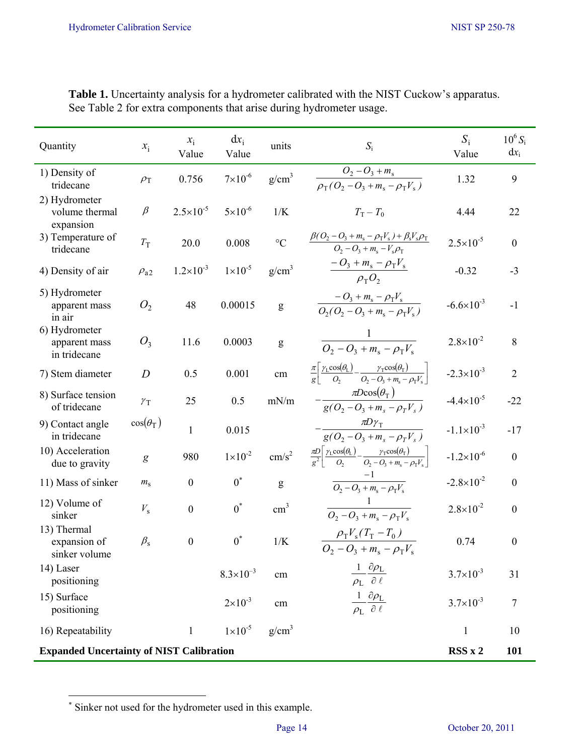| Quantity                                        | $x_i$            | $x_i$<br>Value       | $dx_i$<br>Value      | units             | $S_i$                                                                                                                                                                       | $S_i$<br>Value        | $10^6 S_i$<br>$dx_i$ |
|-------------------------------------------------|------------------|----------------------|----------------------|-------------------|-----------------------------------------------------------------------------------------------------------------------------------------------------------------------------|-----------------------|----------------------|
| 1) Density of<br>tridecane                      | $\rho_{\rm T}$   | 0.756                | $7 \times 10^{-6}$   | g/cm <sup>3</sup> | $O_2 - O_3 + m_s$<br>$\overline{\rho_{\rm T}(O_2-O_3+m_{\rm s}-\rho_{\rm T}V_{\rm s}})$                                                                                     | 1.32                  | 9                    |
| 2) Hydrometer<br>volume thermal<br>expansion    | $\beta$          | $2.5 \times 10^{-5}$ | $5 \times 10^{-6}$   | 1/K               | $T_{\rm T}-T_0$                                                                                                                                                             | 4.44                  | 22                   |
| 3) Temperature of<br>tridecane                  | $T_{\rm T}$      | 20.0                 | 0.008                | $\rm ^{\circ}C$   | $\frac{\beta (O_2 - O_3 + m_s - \rho_T V_s) + \beta_s V_s \rho_T}{O_2 - O_3 + m_s - V_s \rho_T}$                                                                            | $2.5 \times 10^{-5}$  | $\boldsymbol{0}$     |
| 4) Density of air                               | $\rho_{a2}$      | $1.2 \times 10^{-3}$ | $1 \times 10^{-5}$   | g/cm <sup>3</sup> | $\frac{-O_3 + m_s - \rho_{\rm T} V_{\rm s}}{\rho_{\rm T} O_2}$                                                                                                              | $-0.32$               | $-3$                 |
| 5) Hydrometer<br>apparent mass<br>in air        | O <sub>2</sub>   | 48                   | 0.00015              | ${\sf g}$         | $\frac{-O_3 + m_s - \rho_T V_s}{O_2(O_2 - O_3 + m_s - \rho_T V_s)}$                                                                                                         | $-6.6 \times 10^{-3}$ | $-1$                 |
| 6) Hydrometer<br>apparent mass<br>in tridecane  | $O_3$            | 11.6                 | 0.0003               | g                 | $\frac{1}{O_2 - O_3 + m_s - \rho_\text{T} V_s}$                                                                                                                             | $2.8 \times 10^{-2}$  | 8                    |
| 7) Stem diameter                                | $\overline{D}$   | 0.5                  | 0.001                | cm                | $\frac{\pi}{g} \left[ \frac{\gamma_{\rm L} \cos(\theta_{\rm L})}{O_2} - \frac{\gamma_{\rm T} \cos(\theta_{\rm T})}{O_2 - O_3 + m_{\rm s} - \rho_{\rm T} V_{\rm s}} \right]$ | $-2.3 \times 10^{-3}$ | $\overline{2}$       |
| 8) Surface tension<br>of tridecane              | $\gamma_{\rm T}$ | 25                   | 0.5                  | mN/m              | $\pi Dcos(\theta_T)$<br>$\frac{1}{g(O_2 - O_3 + m_s - \rho_T V_s)}$                                                                                                         | $-4.4 \times 10^{-5}$ | $-22$                |
| 9) Contact angle<br>in tridecane                | $cos(\theta_T)$  | $\mathbf{1}$         | 0.015                |                   | $\frac{\pi D\gamma_{\text{T}}}{g(O_2-O_3+m_s-\rho_{\text{T}}V_s)}$                                                                                                          | $-1.1 \times 10^{-3}$ | $-17$                |
| 10) Acceleration<br>due to gravity              | g                | 980                  | $1 \times 10^{-2}$   | cm/s <sup>2</sup> | $\frac{\pi D}{g^2} \left[ \frac{\gamma_L \cos(\theta_L)}{O_2} - \frac{\gamma_T \cos(\theta_T)}{O_2 - O_3 + m_s - \rho_T V_s} \right]$                                       | $-1.2\times10^{-6}$   | $\boldsymbol{0}$     |
| 11) Mass of sinker                              | $m_{\rm s}$      | $\boldsymbol{0}$     | $0^*$                | g                 | $\frac{-1}{Q_2 - Q_3 + m_s - \rho_T V_s}$                                                                                                                                   | $-2.8 \times 10^{-2}$ | $\boldsymbol{0}$     |
| 12) Volume of<br>sinker                         | $V_{\rm s}$      | $\boldsymbol{0}$     | $0^*$                | $\text{cm}^3$     | $\frac{1}{O_2 - O_3 + m_s - \rho_{\rm T} V_{\rm s}}$                                                                                                                        | $2.8 \times 10^{-2}$  | $\boldsymbol{0}$     |
| 13) Thermal<br>expansion of<br>sinker volume    | $\beta_{\rm s}$  | $\boldsymbol{0}$     | $0^*$                | 1/K               | $\rho_{\rm T} V_{\rm s} (T_{\rm T} - T_0)$<br>$O_2 - O_3 + m_s - \rho_{\rm T} V_s$                                                                                          | 0.74                  | $\boldsymbol{0}$     |
| 14) Laser<br>positioning                        |                  |                      | $8.3 \times 10^{-3}$ | cm                | $\frac{1}{\rho_L} \frac{\partial \rho_L}{\partial \ell}$                                                                                                                    | $3.7 \times 10^{-3}$  | 31                   |
| 15) Surface<br>positioning                      |                  |                      | $2 \times 10^{-3}$   | $\,\mathrm{cm}$   | $\frac{1}{\rho_{\rm L}}\frac{\partial \rho_{\rm L}}{\partial \ \ell}$                                                                                                       | $3.7 \times 10^{-3}$  | $7\phantom{.0}$      |
| 16) Repeatability                               |                  | $\mathbf{1}$         | $1 \times 10^{-5}$   | g/cm <sup>3</sup> |                                                                                                                                                                             | $\mathbf{1}$          | 10                   |
| <b>Expanded Uncertainty of NIST Calibration</b> |                  |                      |                      |                   |                                                                                                                                                                             | RSSx2                 | <b>101</b>           |

**Table 1.** Uncertainty analysis for a hydrometer calibrated with the NIST Cuckow's apparatus. See Table 2 for extra components that arise during hydrometer usage.

∗ Sinker not used for the hydrometer used in this example.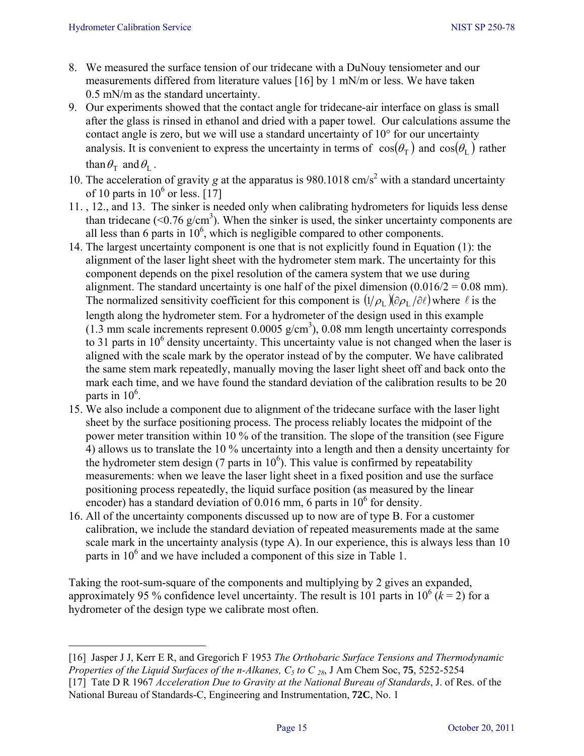- 8. We measured the surface tension of our tridecane with a DuNouy tensiometer and our measurements differed from literature values [16] by 1 mN/m or less. We have taken 0.5 mN/m as the standard uncertainty.
- 9. Our experiments showed that the contact angle for tridecane-air interface on glass is small after the glass is rinsed in ethanol and dried with a paper towel. Our calculations assume the contact angle is zero, but we will use a standard uncertainty of 10° for our uncertainty analysis. It is convenient to express the uncertainty in terms of  $\cos(\theta_{\rm r})$  and  $\cos(\theta_{\rm r})$  rather than  $\theta_{\rm T}$  and  $\theta_{\rm I}$ .
- 10. The acceleration of gravity *g* at the apparatus is 980.1018 cm/s<sup>2</sup> with a standard uncertainty of 10 parts in  $10^6$  or less. [17]
- 11. , 12., and 13. The sinker is needed only when calibrating hydrometers for liquids less dense than tridecane  $( $0.76 \text{ g/cm}^3$ ). When the sinker is used, the sinker uncertainty components are$ all less than 6 parts in  $10^6$ , which is negligible compared to other components.
- 14. The largest uncertainty component is one that is not explicitly found in Equation (1): the alignment of the laser light sheet with the hydrometer stem mark. The uncertainty for this component depends on the pixel resolution of the camera system that we use during alignment. The standard uncertainty is one half of the pixel dimension  $(0.016/2 = 0.08$  mm). The normalized sensitivity coefficient for this component is  $(1/\rho_L)(\partial \rho_L/\partial \ell)$  where  $\ell$  is the length along the hydrometer stem. For a hydrometer of the design used in this example  $(1.3 \text{ mm scale increments represent } 0.0005 \text{ g/cm}^3)$ , 0.08 mm length uncertainty corresponds to 31 parts in  $10<sup>6</sup>$  density uncertainty. This uncertainty value is not changed when the laser is aligned with the scale mark by the operator instead of by the computer. We have calibrated the same stem mark repeatedly, manually moving the laser light sheet off and back onto the mark each time, and we have found the standard deviation of the calibration results to be 20 parts in  $10^6$ .
- 15. We also include a component due to alignment of the tridecane surface with the laser light sheet by the surface positioning process. The process reliably locates the midpoint of the power meter transition within 10 % of the transition. The slope of the transition (see Figure 4) allows us to translate the 10 % uncertainty into a length and then a density uncertainty for the hydrometer stem design (7 parts in  $10<sup>6</sup>$ ). This value is confirmed by repeatability measurements: when we leave the laser light sheet in a fixed position and use the surface positioning process repeatedly, the liquid surface position (as measured by the linear encoder) has a standard deviation of  $0.016$  mm, 6 parts in  $10^6$  for density.
- 16. All of the uncertainty components discussed up to now are of type B. For a customer calibration, we include the standard deviation of repeated measurements made at the same scale mark in the uncertainty analysis (type A). In our experience, this is always less than 10 parts in 10<sup>6</sup> and we have included a component of this size in Table 1.

Taking the root-sum-square of the components and multiplying by 2 gives an expanded, approximately 95 % confidence level uncertainty. The result is 101 parts in  $10^6$  ( $k = 2$ ) for a hydrometer of the design type we calibrate most often.

<sup>[16]</sup> Jasper J J, Kerr E R, and Gregorich F 1953 *The Orthobaric Surface Tensions and Thermodynamic Properties of the Liquid Surfaces of the n-Alkanes, C5 to C 28*, J Am Chem Soc, **75**, 5252-5254

<sup>[17]</sup> Tate D R 1967 *Acceleration Due to Gravity at the National Bureau of Standards*, J. of Res. of the National Bureau of Standards-C, Engineering and Instrumentation, **72C**, No. 1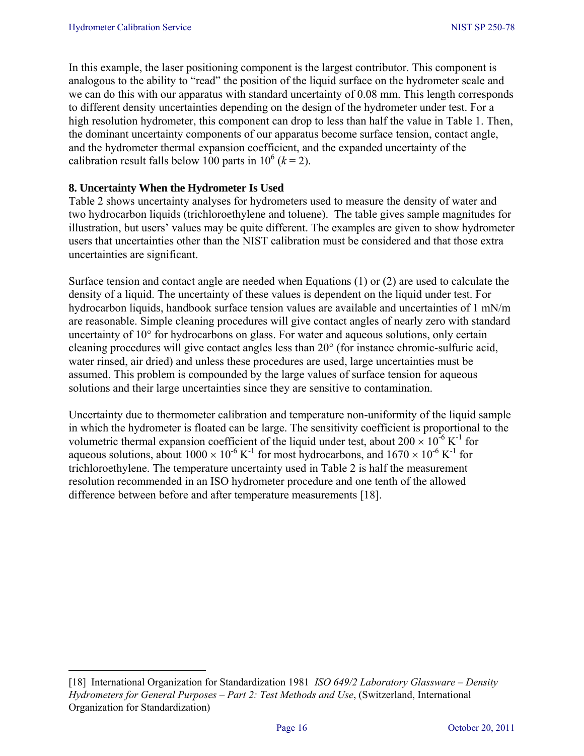In this example, the laser positioning component is the largest contributor. This component is analogous to the ability to "read" the position of the liquid surface on the hydrometer scale and we can do this with our apparatus with standard uncertainty of 0.08 mm. This length corresponds to different density uncertainties depending on the design of the hydrometer under test. For a high resolution hydrometer, this component can drop to less than half the value in Table 1. Then, the dominant uncertainty components of our apparatus become surface tension, contact angle, and the hydrometer thermal expansion coefficient, and the expanded uncertainty of the calibration result falls below 100 parts in  $10^6$  ( $k = 2$ ).

### **8. Uncertainty When the Hydrometer Is Used**

Table 2 shows uncertainty analyses for hydrometers used to measure the density of water and two hydrocarbon liquids (trichloroethylene and toluene). The table gives sample magnitudes for illustration, but users' values may be quite different. The examples are given to show hydrometer users that uncertainties other than the NIST calibration must be considered and that those extra uncertainties are significant.

Surface tension and contact angle are needed when Equations (1) or (2) are used to calculate the density of a liquid. The uncertainty of these values is dependent on the liquid under test. For hydrocarbon liquids, handbook surface tension values are available and uncertainties of 1 mN/m are reasonable. Simple cleaning procedures will give contact angles of nearly zero with standard uncertainty of 10° for hydrocarbons on glass. For water and aqueous solutions, only certain cleaning procedures will give contact angles less than 20° (for instance chromic-sulfuric acid, water rinsed, air dried) and unless these procedures are used, large uncertainties must be assumed. This problem is compounded by the large values of surface tension for aqueous solutions and their large uncertainties since they are sensitive to contamination.

Uncertainty due to thermometer calibration and temperature non-uniformity of the liquid sample in which the hydrometer is floated can be large. The sensitivity coefficient is proportional to the volumetric thermal expansion coefficient of the liquid under test, about  $200 \times 10^{-6}$  K<sup>-1</sup> for aqueous solutions, about  $1000 \times 10^{-6}$  K<sup>-1</sup> for most hydrocarbons, and  $1670 \times 10^{-6}$  K<sup>-1</sup> for trichloroethylene. The temperature uncertainty used in Table 2 is half the measurement resolution recommended in an ISO hydrometer procedure and one tenth of the allowed difference between before and after temperature measurements [18].

 [18] International Organization for Standardization 1981 *ISO 649/2 Laboratory Glassware – Density Hydrometers for General Purposes – Part 2: Test Methods and Use*, (Switzerland, International Organization for Standardization)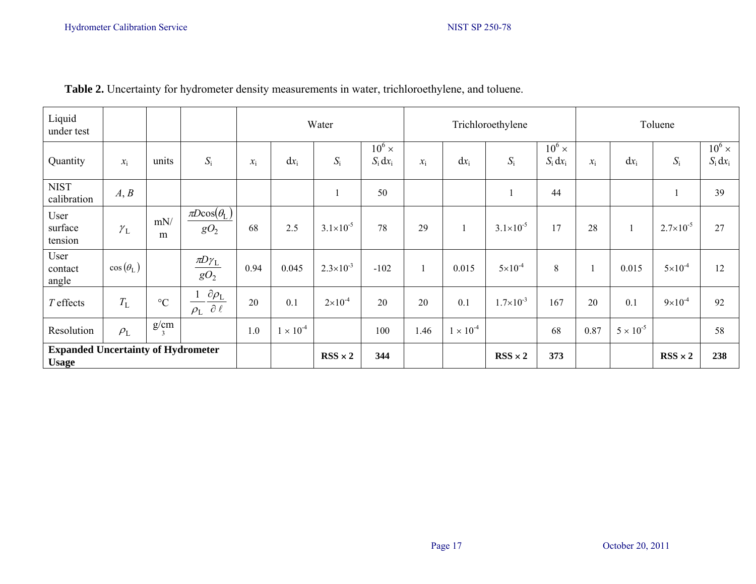| Liquid<br>under test                                      |                        |                        |                                                           | Water           |                    |                      | Trichloroethylene           |                 |                    | Toluene              |                             |                   |                    |                      |                             |
|-----------------------------------------------------------|------------------------|------------------------|-----------------------------------------------------------|-----------------|--------------------|----------------------|-----------------------------|-----------------|--------------------|----------------------|-----------------------------|-------------------|--------------------|----------------------|-----------------------------|
| Quantity                                                  | $x_i$                  | units                  | $S_i$                                                     | $\mathcal{X}_i$ | $dx_i$             | $S_i$                | $10^6 \times$<br>$S_i dx_i$ | $\mathcal{X}_1$ | $dx_i$             | $S_i$                | $10^6 \times$<br>$S_i dx_i$ | $\mathcal{X}_{i}$ | $dx_i$             | $S_i$                | $10^6 \times$<br>$S_i dx_i$ |
| <b>NIST</b><br>calibration                                | A, B                   |                        |                                                           |                 |                    |                      | 50                          |                 |                    |                      | 44                          |                   |                    |                      | 39                          |
| User<br>surface<br>tension                                | $\gamma_L$             | mN/<br>m               | $\pi Dcos(\theta_{\rm L})$<br>gO <sub>2</sub>             | 68              | 2.5                | $3.1 \times 10^{-5}$ | 78                          | 29              |                    | $3.1 \times 10^{-5}$ | 17                          | 28                | $\mathbf{1}$       | $2.7 \times 10^{-5}$ | 27                          |
| User<br>contact<br>angle                                  | $\cos(\theta_{\rm L})$ |                        | $\underline{\pi}D\gamma_L$<br>gO <sub>2</sub>             | 0.94            | 0.045              | $2.3 \times 10^{-3}$ | $-102$                      |                 | 0.015              | $5 \times 10^{-4}$   | 8                           |                   | 0.015              | $5 \times 10^{-4}$   | 12                          |
| $T$ effects                                               | $T_{\rm L}$            | $\rm ^{\circ}C$        | $\underline{\partial \rho_L}$<br>$\rho_L$ $\partial \ell$ | 20              | 0.1                | $2 \times 10^{-4}$   | 20                          | 20              | 0.1                | $1.7\times10^{-3}$   | 167                         | 20                | 0.1                | $9 \times 10^{-4}$   | 92                          |
| Resolution                                                | $\rho_L$               | g/cm<br>$\overline{3}$ |                                                           | 1.0             | $1 \times 10^{-4}$ |                      | 100                         | 1.46            | $1 \times 10^{-4}$ |                      | 68                          | 0.87              | $5 \times 10^{-5}$ |                      | 58                          |
| <b>Expanded Uncertainty of Hydrometer</b><br><b>Usage</b> |                        |                        |                                                           |                 |                    | $RSS \times 2$       | 344                         |                 |                    | $RSS \times 2$       | 373                         |                   |                    | $RSS \times 2$       | 238                         |

## **Table 2.** Uncertainty for hydrometer density measurements in water, trichloroethylene, and toluene.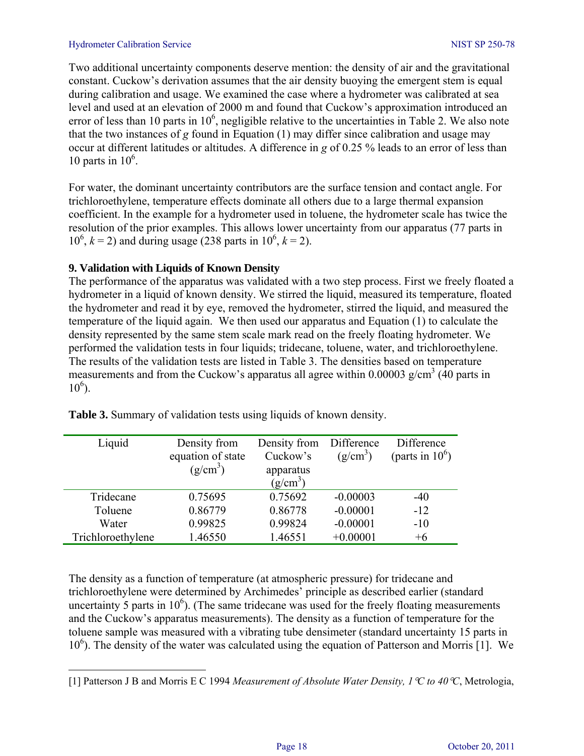#### Hydrometer Calibration Service NIST SP 250-78

Two additional uncertainty components deserve mention: the density of air and the gravitational constant. Cuckow's derivation assumes that the air density buoying the emergent stem is equal during calibration and usage. We examined the case where a hydrometer was calibrated at sea level and used at an elevation of 2000 m and found that Cuckow's approximation introduced an error of less than 10 parts in  $10^6$ , negligible relative to the uncertainties in Table 2. We also note that the two instances of *g* found in Equation (1) may differ since calibration and usage may occur at different latitudes or altitudes. A difference in *g* of 0.25 % leads to an error of less than 10 parts in  $10^6$ .

For water, the dominant uncertainty contributors are the surface tension and contact angle. For trichloroethylene, temperature effects dominate all others due to a large thermal expansion coefficient. In the example for a hydrometer used in toluene, the hydrometer scale has twice the resolution of the prior examples. This allows lower uncertainty from our apparatus (77 parts in  $10^6$ ,  $k = 2$ ) and during usage (238 parts in  $10^6$ ,  $k = 2$ ).

#### **9. Validation with Liquids of Known Density**

The performance of the apparatus was validated with a two step process. First we freely floated a hydrometer in a liquid of known density. We stirred the liquid, measured its temperature, floated the hydrometer and read it by eye, removed the hydrometer, stirred the liquid, and measured the temperature of the liquid again. We then used our apparatus and Equation (1) to calculate the density represented by the same stem scale mark read on the freely floating hydrometer. We performed the validation tests in four liquids; tridecane, toluene, water, and trichloroethylene. The results of the validation tests are listed in Table 3. The densities based on temperature measurements and from the Cuckow's apparatus all agree within  $0.00003$  g/cm<sup>3</sup> (40 parts in  $10^6$ ).

| Liquid            | Density from         | Density from | Difference | Difference         |
|-------------------|----------------------|--------------|------------|--------------------|
|                   | equation of state    | Cuckow's     | $(g/cm^3)$ | (parts in $10^6$ ) |
|                   | (g/cm <sup>3</sup> ) | apparatus    |            |                    |
|                   |                      | $(g/cm^3)$   |            |                    |
| Tridecane         | 0.75695              | 0.75692      | $-0.00003$ | $-40$              |
| Toluene           | 0.86779              | 0.86778      | $-0.00001$ | $-12$              |
| Water             | 0.99825              | 0.99824      | $-0.00001$ | $-10$              |
| Trichloroethylene | 1.46550              | 1.46551      | $+0.00001$ | $+6$               |

**Table 3.** Summary of validation tests using liquids of known density.

The density as a function of temperature (at atmospheric pressure) for tridecane and trichloroethylene were determined by Archimedes' principle as described earlier (standard uncertainty 5 parts in  $10<sup>6</sup>$ ). (The same tridecane was used for the freely floating measurements and the Cuckow's apparatus measurements). The density as a function of temperature for the toluene sample was measured with a vibrating tube densimeter (standard uncertainty 15 parts in 10<sup>6</sup>). The density of the water was calculated using the equation of Patterson and Morris [1]. We

<sup>[1]</sup> Patterson J B and Morris E C 1994 *Measurement of Absolute Water Density, 1*°*C to 40*°*C*, Metrologia,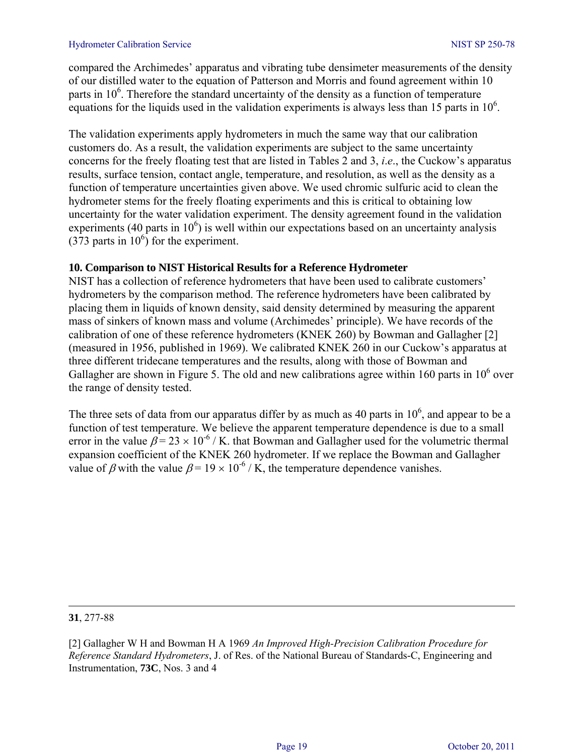compared the Archimedes' apparatus and vibrating tube densimeter measurements of the density of our distilled water to the equation of Patterson and Morris and found agreement within 10 parts in  $10<sup>6</sup>$ . Therefore the standard uncertainty of the density as a function of temperature equations for the liquids used in the validation experiments is always less than 15 parts in  $10<sup>6</sup>$ .

The validation experiments apply hydrometers in much the same way that our calibration customers do. As a result, the validation experiments are subject to the same uncertainty concerns for the freely floating test that are listed in Tables 2 and 3, *i*.*e*., the Cuckow's apparatus results, surface tension, contact angle, temperature, and resolution, as well as the density as a function of temperature uncertainties given above. We used chromic sulfuric acid to clean the hydrometer stems for the freely floating experiments and this is critical to obtaining low uncertainty for the water validation experiment. The density agreement found in the validation experiments (40 parts in  $10<sup>6</sup>$ ) is well within our expectations based on an uncertainty analysis  $(373 \text{ parts in } 10^6)$  for the experiment.

#### **10. Comparison to NIST Historical Results for a Reference Hydrometer**

NIST has a collection of reference hydrometers that have been used to calibrate customers' hydrometers by the comparison method. The reference hydrometers have been calibrated by placing them in liquids of known density, said density determined by measuring the apparent mass of sinkers of known mass and volume (Archimedes' principle). We have records of the calibration of one of these reference hydrometers (KNEK 260) by Bowman and Gallagher [2] (measured in 1956, published in 1969). We calibrated KNEK 260 in our Cuckow's apparatus at three different tridecane temperatures and the results, along with those of Bowman and Gallagher are shown in Figure 5. The old and new calibrations agree within 160 parts in  $10^6$  over the range of density tested.

The three sets of data from our apparatus differ by as much as 40 parts in  $10<sup>6</sup>$ , and appear to be a function of test temperature. We believe the apparent temperature dependence is due to a small error in the value  $\beta$  = 23 × 10<sup>-6</sup> / K. that Bowman and Gallagher used for the volumetric thermal expansion coefficient of the KNEK 260 hydrometer. If we replace the Bowman and Gallagher value of β with the value  $\beta$  = 19 × 10<sup>-6</sup> / K, the temperature dependence vanishes.

 **31**, 277-88

<sup>[2]</sup> Gallagher W H and Bowman H A 1969 *An Improved High-Precision Calibration Procedure for Reference Standard Hydrometers*, J. of Res. of the National Bureau of Standards-C, Engineering and Instrumentation, **73C**, Nos. 3 and 4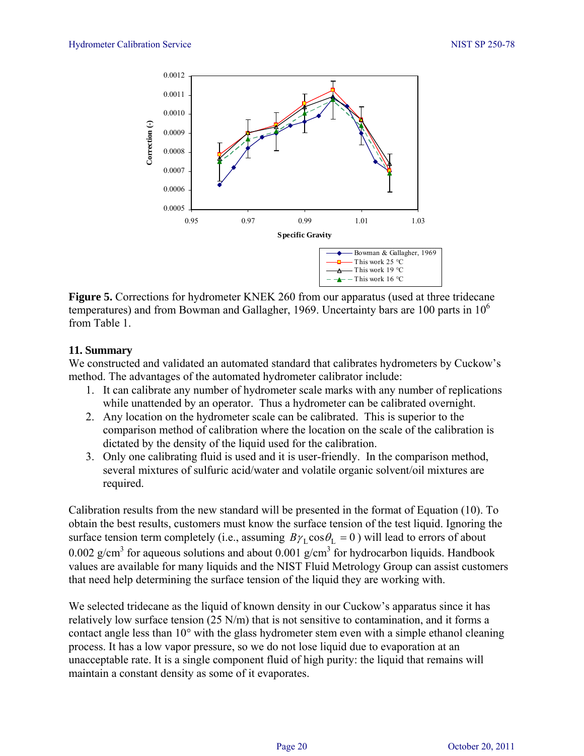

**Figure 5.** Corrections for hydrometer KNEK 260 from our apparatus (used at three tridecane temperatures) and from Bowman and Gallagher, 1969. Uncertainty bars are 100 parts in  $10<sup>6</sup>$ from Table 1.

#### **11. Summary**

We constructed and validated an automated standard that calibrates hydrometers by Cuckow's method. The advantages of the automated hydrometer calibrator include:

- 1. It can calibrate any number of hydrometer scale marks with any number of replications while unattended by an operator. Thus a hydrometer can be calibrated overnight.
- 2. Any location on the hydrometer scale can be calibrated. This is superior to the comparison method of calibration where the location on the scale of the calibration is dictated by the density of the liquid used for the calibration.
- 3. Only one calibrating fluid is used and it is user-friendly. In the comparison method, several mixtures of sulfuric acid/water and volatile organic solvent/oil mixtures are required.

Calibration results from the new standard will be presented in the format of Equation (10). To obtain the best results, customers must know the surface tension of the test liquid. Ignoring the surface tension term completely (i.e., assuming  $B\gamma_L \cos \theta_L = 0$ ) will lead to errors of about 0.002 g/cm<sup>3</sup> for aqueous solutions and about 0.001 g/cm<sup>3</sup> for hydrocarbon liquids. Handbook values are available for many liquids and the NIST Fluid Metrology Group can assist customers that need help determining the surface tension of the liquid they are working with.

We selected tridecane as the liquid of known density in our Cuckow's apparatus since it has relatively low surface tension (25 N/m) that is not sensitive to contamination, and it forms a contact angle less than 10° with the glass hydrometer stem even with a simple ethanol cleaning process. It has a low vapor pressure, so we do not lose liquid due to evaporation at an unacceptable rate. It is a single component fluid of high purity: the liquid that remains will maintain a constant density as some of it evaporates.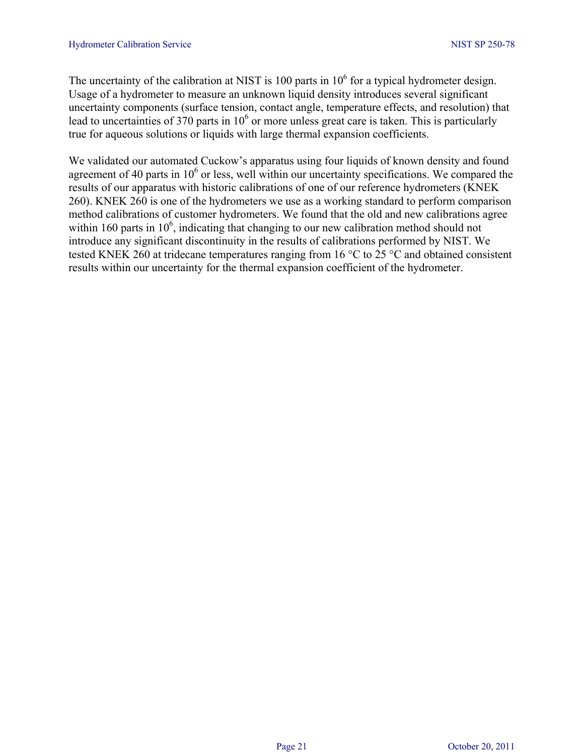The uncertainty of the calibration at NIST is 100 parts in  $10^6$  for a typical hydrometer design. Usage of a hydrometer to measure an unknown liquid density introduces several significant uncertainty components (surface tension, contact angle, temperature effects, and resolution) that lead to uncertainties of 370 parts in  $10<sup>6</sup>$  or more unless great care is taken. This is particularly true for aqueous solutions or liquids with large thermal expansion coefficients.

We validated our automated Cuckow's apparatus using four liquids of known density and found agreement of 40 parts in  $10<sup>6</sup>$  or less, well within our uncertainty specifications. We compared the results of our apparatus with historic calibrations of one of our reference hydrometers (KNEK 260). KNEK 260 is one of the hydrometers we use as a working standard to perform comparison method calibrations of customer hydrometers. We found that the old and new calibrations agree within 160 parts in  $10<sup>6</sup>$ , indicating that changing to our new calibration method should not introduce any significant discontinuity in the results of calibrations performed by NIST. We tested KNEK 260 at tridecane temperatures ranging from 16 °C to 25 °C and obtained consistent results within our uncertainty for the thermal expansion coefficient of the hydrometer.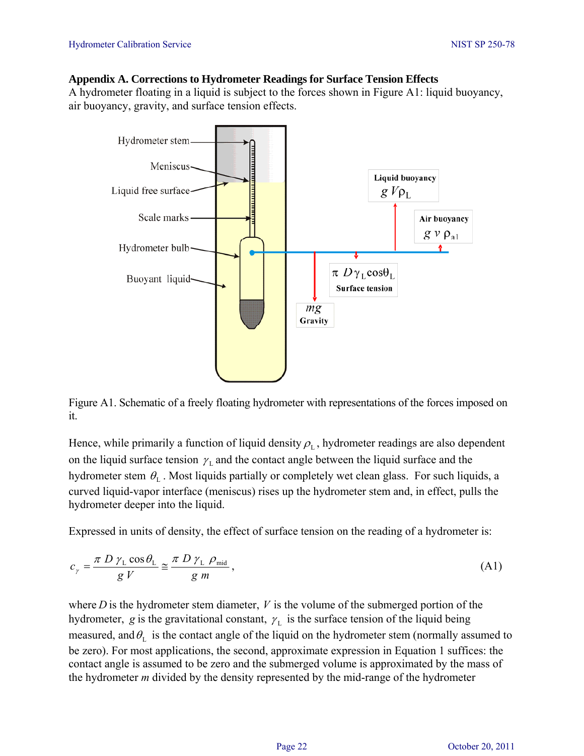#### **Appendix A. Corrections to Hydrometer Readings for Surface Tension Effects**

A hydrometer floating in a liquid is subject to the forces shown in Figure A1: liquid buoyancy, air buoyancy, gravity, and surface tension effects.



Figure A1. Schematic of a freely floating hydrometer with representations of the forces imposed on it.

Hence, while primarily a function of liquid density  $\rho_L$ , hydrometer readings are also dependent on the liquid surface tension  $\gamma_L$  and the contact angle between the liquid surface and the hydrometer stem  $\theta_L$ . Most liquids partially or completely wet clean glass. For such liquids, a curved liquid-vapor interface (meniscus) rises up the hydrometer stem and, in effect, pulls the hydrometer deeper into the liquid.

Expressed in units of density, the effect of surface tension on the reading of a hydrometer is:

$$
c_{\gamma} = \frac{\pi D \gamma_{\text{L}} \cos \theta_{\text{L}}}{g V} \approx \frac{\pi D \gamma_{\text{L}} \rho_{\text{mid}}}{g m}, \tag{A1}
$$

where *D* is the hydrometer stem diameter, *V* is the volume of the submerged portion of the hydrometer, *g* is the gravitational constant,  $\gamma_L$  is the surface tension of the liquid being measured, and  $\theta_{\rm L}$  is the contact angle of the liquid on the hydrometer stem (normally assumed to be zero). For most applications, the second, approximate expression in Equation 1 suffices: the contact angle is assumed to be zero and the submerged volume is approximated by the mass of the hydrometer *m* divided by the density represented by the mid-range of the hydrometer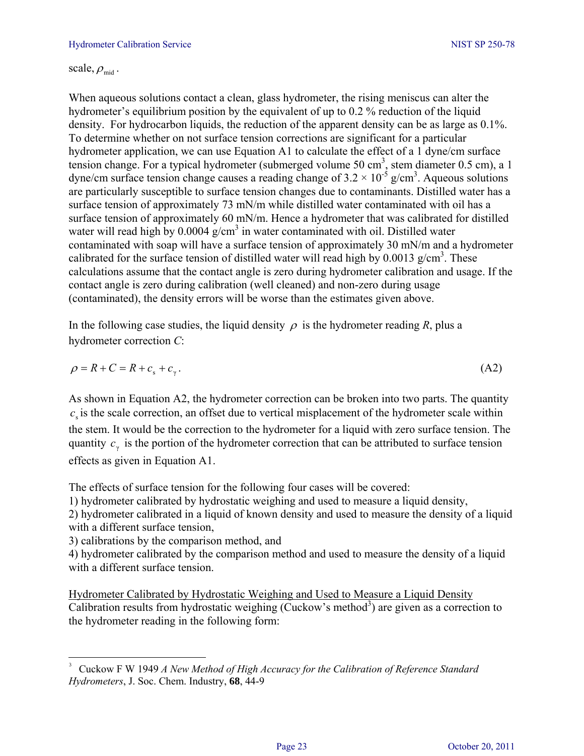scale,  $\rho_{\rm mid}$ .

When aqueous solutions contact a clean, glass hydrometer, the rising meniscus can alter the hydrometer's equilibrium position by the equivalent of up to 0.2 % reduction of the liquid density. For hydrocarbon liquids, the reduction of the apparent density can be as large as 0.1%. To determine whether on not surface tension corrections are significant for a particular hydrometer application, we can use Equation A1 to calculate the effect of a 1 dyne/cm surface tension change. For a typical hydrometer (submerged volume 50 cm<sup>3</sup>, stem diameter 0.5 cm), a 1 dyne/cm surface tension change causes a reading change of  $3.2 \times 10^{-5}$  g/cm<sup>3</sup>. Aqueous solutions are particularly susceptible to surface tension changes due to contaminants. Distilled water has a surface tension of approximately 73 mN/m while distilled water contaminated with oil has a surface tension of approximately 60 mN/m. Hence a hydrometer that was calibrated for distilled water will read high by  $0.0004$  g/cm<sup>3</sup> in water contaminated with oil. Distilled water contaminated with soap will have a surface tension of approximately 30 mN/m and a hydrometer calibrated for the surface tension of distilled water will read high by  $0.0013$  g/cm<sup>3</sup>. These calculations assume that the contact angle is zero during hydrometer calibration and usage. If the contact angle is zero during calibration (well cleaned) and non-zero during usage (contaminated), the density errors will be worse than the estimates given above.

In the following case studies, the liquid density  $\rho$  is the hydrometer reading *R*, plus a hydrometer correction *C*:

$$
\rho = R + C = R + cs + cγ.
$$
\n(A2)

As shown in Equation A2, the hydrometer correction can be broken into two parts. The quantity  $c<sub>s</sub>$  is the scale correction, an offset due to vertical misplacement of the hydrometer scale within the stem. It would be the correction to the hydrometer for a liquid with zero surface tension. The quantity  $c<sub>y</sub>$  is the portion of the hydrometer correction that can be attributed to surface tension effects as given in Equation A1.

The effects of surface tension for the following four cases will be covered:

1) hydrometer calibrated by hydrostatic weighing and used to measure a liquid density,

2) hydrometer calibrated in a liquid of known density and used to measure the density of a liquid with a different surface tension,

3) calibrations by the comparison method, and

4) hydrometer calibrated by the comparison method and used to measure the density of a liquid with a different surface tension.

Hydrometer Calibrated by Hydrostatic Weighing and Used to Measure a Liquid Density Calibration results from hydrostatic weighing (Cuckow's method<sup>3</sup>) are given as a correction to the hydrometer reading in the following form:

<sup>3</sup> Cuckow F W 1949 *A New Method of High Accuracy for the Calibration of Reference Standard Hydrometers*, J. Soc. Chem. Industry, **68**, 44-9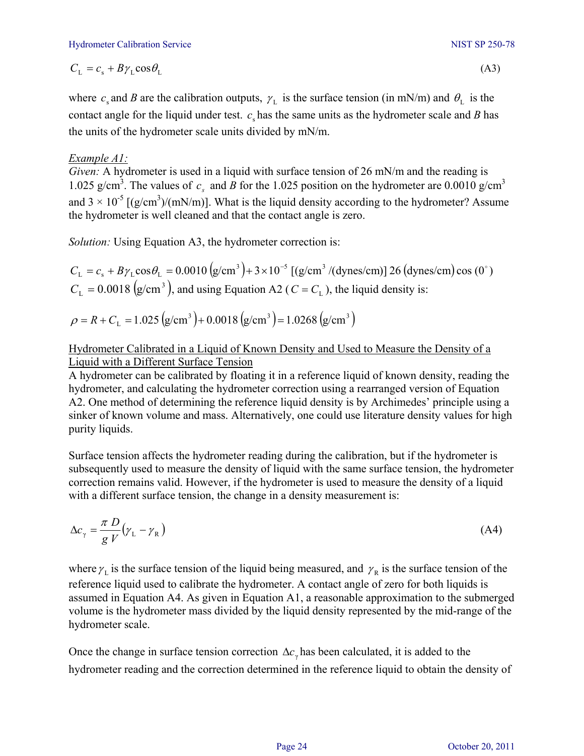$$
C_{\rm L} = c_{\rm s} + B\gamma_{\rm L}\cos\theta_{\rm L} \tag{A3}
$$

where  $c_s$  and *B* are the calibration outputs,  $\gamma_L$  is the surface tension (in mN/m) and  $\theta_L$  is the contact angle for the liquid under test.  $c_{\rm s}$  has the same units as the hydrometer scale and *B* has the units of the hydrometer scale units divided by mN/m.

## *Example A1:*

*Given:* A hydrometer is used in a liquid with surface tension of 26 mN/m and the reading is 1.025 g/cm<sup>3</sup>. The values of  $c_s$  and *B* for the 1.025 position on the hydrometer are 0.0010 g/cm<sup>3</sup> and  $3 \times 10^{-5}$  [(g/cm<sup>3</sup>)/(mN/m)]. What is the liquid density according to the hydrometer? Assume the hydrometer is well cleaned and that the contact angle is zero.

*Solution:* Using Equation A3, the hydrometer correction is:

 $C_{\rm L} = c_{\rm s} + B\gamma_{\rm L} \cos\theta_{\rm L} = 0.0010 \left( g/cm^3 \right) + 3 \times 10^{-5} \left[ \left( g/cm^3 / (\text{dynes/cm}) \right) 26 \left( \text{dynes/cm} \right) \cos \left( 0^\circ \right) \right]$  $C_{\rm L} = 0.0018 \, (\text{g/cm}^3)$ , and using Equation A2 ( $C = C_{\rm L}$ ), the liquid density is:

 $\rho = R + C_{\text{L}} = 1.025 \text{ (g/cm}^3) + 0.0018 \text{ (g/cm}^3) = 1.0268 \text{ (g/cm}^3)$ 

## Hydrometer Calibrated in a Liquid of Known Density and Used to Measure the Density of a Liquid with a Different Surface Tension

A hydrometer can be calibrated by floating it in a reference liquid of known density, reading the hydrometer, and calculating the hydrometer correction using a rearranged version of Equation A2. One method of determining the reference liquid density is by Archimedes' principle using a sinker of known volume and mass. Alternatively, one could use literature density values for high purity liquids.

Surface tension affects the hydrometer reading during the calibration, but if the hydrometer is subsequently used to measure the density of liquid with the same surface tension, the hydrometer correction remains valid. However, if the hydrometer is used to measure the density of a liquid with a different surface tension, the change in a density measurement is:

$$
\Delta c_{\gamma} = \frac{\pi D}{g V} (\gamma_{\rm L} - \gamma_{\rm R})
$$
\n(A4)

where  $\gamma_L$  is the surface tension of the liquid being measured, and  $\gamma_R$  is the surface tension of the reference liquid used to calibrate the hydrometer. A contact angle of zero for both liquids is assumed in Equation A4. As given in Equation A1, a reasonable approximation to the submerged volume is the hydrometer mass divided by the liquid density represented by the mid-range of the hydrometer scale.

Once the change in surface tension correction  $\Delta c$  has been calculated, it is added to the hydrometer reading and the correction determined in the reference liquid to obtain the density of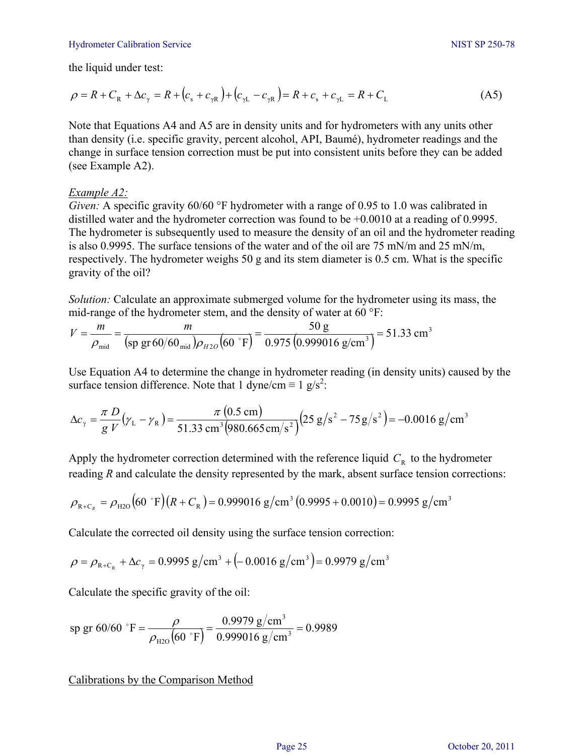#### Hydrometer Calibration Service NIST SP 250-78

the liquid under test:

$$
\rho = R + C_{R} + \Delta c_{\gamma} = R + (c_{s} + c_{\gamma R}) + (c_{\gamma L} - c_{\gamma R}) = R + c_{s} + c_{\gamma L} = R + C_{L}
$$
\n(A5)

Note that Equations A4 and A5 are in density units and for hydrometers with any units other than density (i.e. specific gravity, percent alcohol, API, Baumé), hydrometer readings and the change in surface tension correction must be put into consistent units before they can be added (see Example A2).

#### *Example A2:*

*Given:* A specific gravity 60/60 °F hydrometer with a range of 0.95 to 1.0 was calibrated in distilled water and the hydrometer correction was found to be +0.0010 at a reading of 0.9995. The hydrometer is subsequently used to measure the density of an oil and the hydrometer reading is also 0.9995. The surface tensions of the water and of the oil are 75 mN/m and 25 mN/m, respectively. The hydrometer weighs 50 g and its stem diameter is 0.5 cm. What is the specific gravity of the oil?

*Solution:* Calculate an approximate submerged volume for the hydrometer using its mass, the mid-range of the hydrometer stem, and the density of water at 60 °F:

$$
V = \frac{m}{\rho_{\text{mid}}} = \frac{m}{(\text{sp gr }60/60_{\text{mid}})\rho_{H2O}(60 \text{°F})} = \frac{50 \text{ g}}{0.975 (0.999016 \text{ g/cm}^3)} = 51.33 \text{ cm}^3
$$

Use Equation A4 to determine the change in hydrometer reading (in density units) caused by the surface tension difference. Note that 1 dyne/cm  $\equiv 1$  g/s<sup>2</sup>:

$$
\Delta c_{\gamma} = \frac{\pi D}{g V} (\gamma_{L} - \gamma_{R}) = \frac{\pi (0.5 \text{ cm})}{51.33 \text{ cm}^{3} (980.665 \text{ cm/s}^{2})} (25 \text{ g/s}^{2} - 75 \text{ g/s}^{2}) = -0.0016 \text{ g/cm}^{3}
$$

Apply the hydrometer correction determined with the reference liquid  $C_R$  to the hydrometer reading *R* and calculate the density represented by the mark, absent surface tension corrections:

$$
\rho_{R+C_R} = \rho_{H2O} (60 \text{ }^{\circ} \text{F}) (R + C_R) = 0.999016 \text{ g/cm}^3 (0.9995 + 0.0010) = 0.9995 \text{ g/cm}^3
$$

Calculate the corrected oil density using the surface tension correction:

$$
\rho = \rho_{R+C_R} + \Delta c_{\gamma} = 0.9995 \text{ g/cm}^3 + (-0.0016 \text{ g/cm}^3) = 0.9979 \text{ g/cm}^3
$$

Calculate the specific gravity of the oil:

sp gr 60/60 °F = 
$$
\frac{\rho}{\rho_{\text{H2O}}(60 \text{ °F})}
$$
 =  $\frac{0.9979 \text{ g/cm}^3}{0.999016 \text{ g/cm}^3}$  = 0.9989

Calibrations by the Comparison Method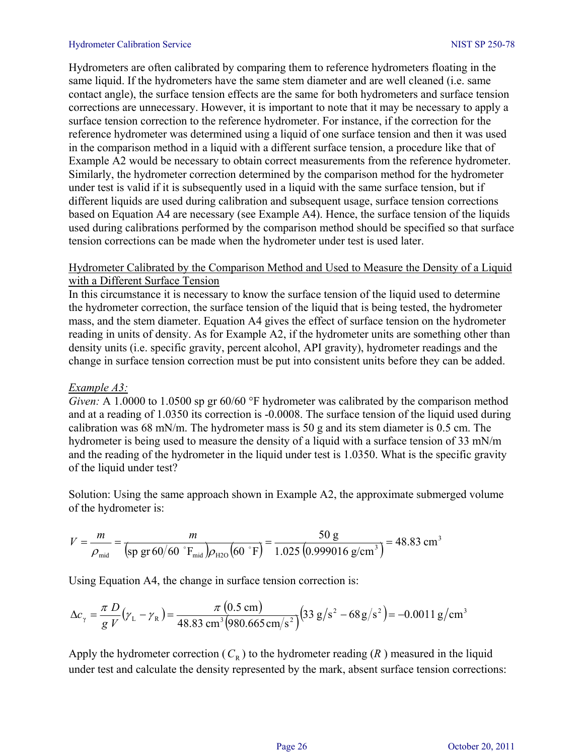#### Hydrometer Calibration Service NIST SP 250-78

Hydrometers are often calibrated by comparing them to reference hydrometers floating in the same liquid. If the hydrometers have the same stem diameter and are well cleaned (i.e. same contact angle), the surface tension effects are the same for both hydrometers and surface tension corrections are unnecessary. However, it is important to note that it may be necessary to apply a surface tension correction to the reference hydrometer. For instance, if the correction for the reference hydrometer was determined using a liquid of one surface tension and then it was used in the comparison method in a liquid with a different surface tension, a procedure like that of Example A2 would be necessary to obtain correct measurements from the reference hydrometer. Similarly, the hydrometer correction determined by the comparison method for the hydrometer under test is valid if it is subsequently used in a liquid with the same surface tension, but if different liquids are used during calibration and subsequent usage, surface tension corrections based on Equation A4 are necessary (see Example A4). Hence, the surface tension of the liquids used during calibrations performed by the comparison method should be specified so that surface tension corrections can be made when the hydrometer under test is used later.

#### Hydrometer Calibrated by the Comparison Method and Used to Measure the Density of a Liquid with a Different Surface Tension

In this circumstance it is necessary to know the surface tension of the liquid used to determine the hydrometer correction, the surface tension of the liquid that is being tested, the hydrometer mass, and the stem diameter. Equation A4 gives the effect of surface tension on the hydrometer reading in units of density. As for Example A2, if the hydrometer units are something other than density units (i.e. specific gravity, percent alcohol, API gravity), hydrometer readings and the change in surface tension correction must be put into consistent units before they can be added.

#### *Example A3:*

*Given:* A 1.0000 to 1.0500 sp gr 60/60 °F hydrometer was calibrated by the comparison method and at a reading of 1.0350 its correction is -0.0008. The surface tension of the liquid used during calibration was 68 mN/m. The hydrometer mass is 50 g and its stem diameter is 0.5 cm. The hydrometer is being used to measure the density of a liquid with a surface tension of 33 mN/m and the reading of the hydrometer in the liquid under test is 1.0350. What is the specific gravity of the liquid under test?

Solution: Using the same approach shown in Example A2, the approximate submerged volume of the hydrometer is:

$$
V = \frac{m}{\rho_{\text{mid}}} = \frac{m}{\left(\text{sp gr } 60/\text{60} \text{ }^{\circ}\text{F}_{\text{mid}}\right)\rho_{\text{H2O}}\left(60 \text{ }^{\circ}\text{F}\right)} = \frac{50 \text{ g}}{1.025 \left(0.999016 \text{ g/cm}^3\right)} = 48.83 \text{ cm}^3
$$

Using Equation A4, the change in surface tension correction is:

$$
\Delta c_{\gamma} = \frac{\pi D}{g V} (\gamma_{L} - \gamma_{R}) = \frac{\pi (0.5 \text{ cm})}{48.83 \text{ cm}^{3} (980.665 \text{ cm/s}^{2})} (33 \text{ g/s}^{2} - 68 \text{ g/s}^{2}) = -0.0011 \text{ g/cm}^{3}
$$

Apply the hydrometer correction  $(C_R)$  to the hydrometer reading  $(R)$  measured in the liquid under test and calculate the density represented by the mark, absent surface tension corrections: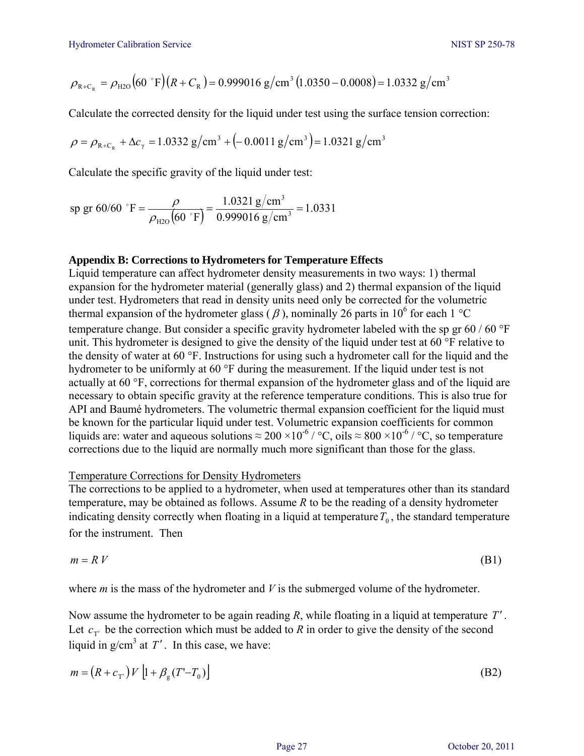$$
\rho_{R+C_R} = \rho_{H2O} (60 \text{ }^{\circ} \text{F}) (R + C_R) = 0.999016 \text{ g/cm}^3 (1.0350 - 0.0008) = 1.0332 \text{ g/cm}^3
$$

Calculate the corrected density for the liquid under test using the surface tension correction:

$$
\rho = \rho_{R+C_R} + \Delta c_{\gamma} = 1.0332 \text{ g/cm}^3 + (-0.0011 \text{ g/cm}^3) = 1.0321 \text{ g/cm}^3
$$

Calculate the specific gravity of the liquid under test:

sp gr 60/60 °F = 
$$
\frac{\rho}{\rho_{\text{H2O}}(60 \text{ °F})}
$$
 =  $\frac{1.0321 \text{ g/cm}^3}{0.999016 \text{ g/cm}^3}$  = 1.0331

#### **Appendix B: Corrections to Hydrometers for Temperature Effects**

Liquid temperature can affect hydrometer density measurements in two ways: 1) thermal expansion for the hydrometer material (generally glass) and 2) thermal expansion of the liquid under test. Hydrometers that read in density units need only be corrected for the volumetric thermal expansion of the hydrometer glass ( $\beta$ ), nominally 26 parts in 10<sup>6</sup> for each 1 °C temperature change. But consider a specific gravity hydrometer labeled with the sp gr 60 / 60 °F unit. This hydrometer is designed to give the density of the liquid under test at 60 °F relative to the density of water at 60 °F. Instructions for using such a hydrometer call for the liquid and the hydrometer to be uniformly at 60 °F during the measurement. If the liquid under test is not actually at 60 °F, corrections for thermal expansion of the hydrometer glass and of the liquid are necessary to obtain specific gravity at the reference temperature conditions. This is also true for API and Baumé hydrometers. The volumetric thermal expansion coefficient for the liquid must be known for the particular liquid under test. Volumetric expansion coefficients for common liquids are: water and aqueous solutions  $\approx 200 \times 10^{-6}$  / °C, oils  $\approx 800 \times 10^{-6}$  / °C, so temperature corrections due to the liquid are normally much more significant than those for the glass.

#### Temperature Corrections for Density Hydrometers

The corrections to be applied to a hydrometer, when used at temperatures other than its standard temperature, may be obtained as follows. Assume *R* to be the reading of a density hydrometer indicating density correctly when floating in a liquid at temperature  $T_0$ , the standard temperature for the instrument. Then

$$
m = R V \tag{B1}
$$

where *m* is the mass of the hydrometer and *V* is the submerged volume of the hydrometer.

Now assume the hydrometer to be again reading *R*, while floating in a liquid at temperature *T* ′ . Let  $c_{\tau'}$  be the correction which must be added to *R* in order to give the density of the second liquid in  $g/cm^3$  at  $T'$ . In this case, we have:

$$
m = (R + c_{\text{T'}}) V [1 + \beta_{\text{g}} (T' - T_0)] \tag{B2}
$$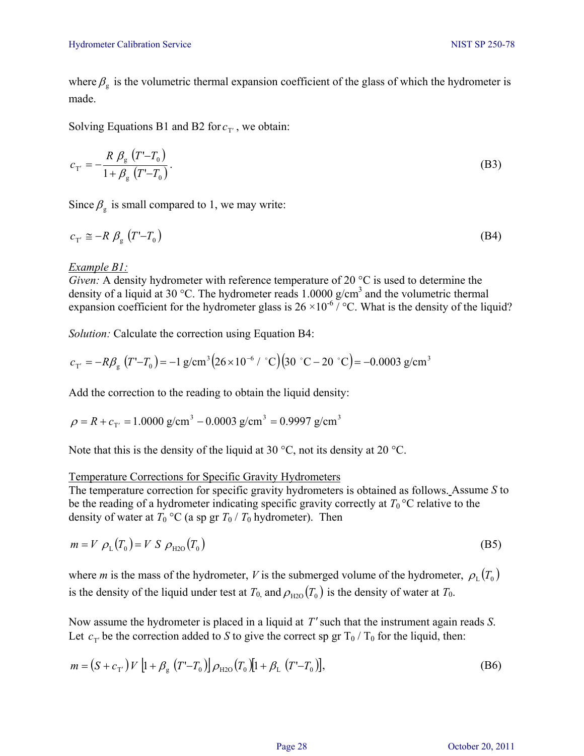where  $\beta_{\rm g}$  is the volumetric thermal expansion coefficient of the glass of which the hydrometer is made.

Solving Equations B1 and B2 for  $c_{\text{T}}$ , we obtain:

$$
c_{T'} = -\frac{R \beta_{g} (T' - T_{0})}{1 + \beta_{g} (T' - T_{0})}.
$$
 (B3)

Since  $\beta_{\rm g}$  is small compared to 1, we may write:

$$
c_{\mathrm{T}'} \cong -R \beta_{\mathrm{g}} \left( T - T_0 \right) \tag{B4}
$$

#### *Example B1:*

*Given:* A density hydrometer with reference temperature of 20 °C is used to determine the density of a liquid at 30 °C. The hydrometer reads 1.0000  $g/cm<sup>3</sup>$  and the volumetric thermal expansion coefficient for the hydrometer glass is  $26 \times 10^{-6}$  / °C. What is the density of the liquid?

*Solution:* Calculate the correction using Equation B4:

$$
c_{\text{T}'} = -R\beta_{\text{g}} \left( T' - T_0 \right) = -1 \text{ g/cm}^3 \left( 26 \times 10^{-6} / \text{°C} \right) \left( 30 \text{ °C} - 20 \text{ °C} \right) = -0.0003 \text{ g/cm}^3
$$

Add the correction to the reading to obtain the liquid density:

$$
\rho = R + c_{\text{T}'} = 1.0000 \text{ g/cm}^3 - 0.0003 \text{ g/cm}^3 = 0.9997 \text{ g/cm}^3
$$

Note that this is the density of the liquid at 30 °C, not its density at 20 °C.

#### Temperature Corrections for Specific Gravity Hydrometers

The temperature correction for specific gravity hydrometers is obtained as follows. Assume *S* to be the reading of a hydrometer indicating specific gravity correctly at  $T_0$  °C relative to the density of water at  $T_0$  °C (a sp gr  $T_0$  /  $T_0$  hydrometer). Then

$$
m = V \rho_{\rm L}(T_0) = V S \rho_{\rm H2O}(T_0) \tag{B5}
$$

where *m* is the mass of the hydrometer, *V* is the submerged volume of the hydrometer,  $\rho_L(T_0)$ is the density of the liquid under test at  $T_0$ , and  $\rho_{\text{H2O}}(T_0)$  is the density of water at  $T_0$ .

Now assume the hydrometer is placed in a liquid at *T*′such that the instrument again reads *S*. Let  $c_{\tau}$  be the correction added to *S* to give the correct sp gr T<sub>0</sub> / T<sub>0</sub> for the liquid, then:

$$
m = (S + c_{T'}) V [1 + \beta_{g} (T' - T_{0})] \rho_{H2O}(T_{0}) [1 + \beta_{L} (T' - T_{0})],
$$
\n(B6)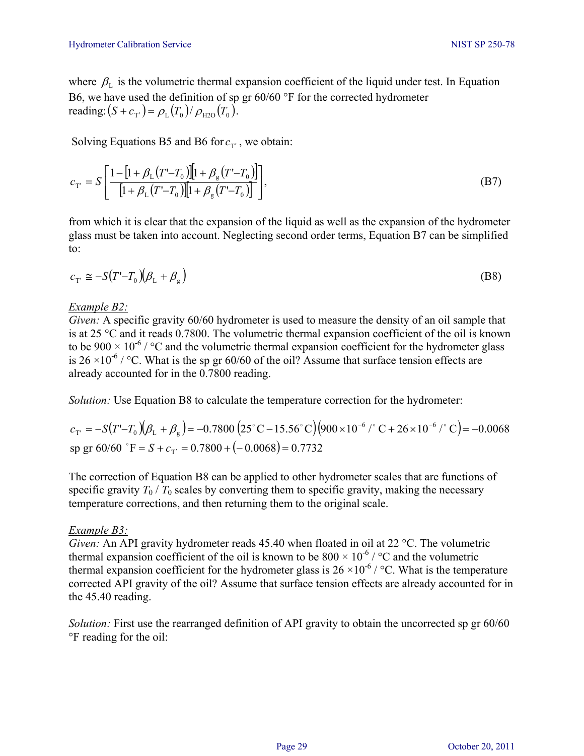where  $\beta_L$  is the volumetric thermal expansion coefficient of the liquid under test. In Equation B6, we have used the definition of sp gr 60/60 °F for the corrected hydrometer reading:  $(S + c_{\tau'}) = \rho_{\tau}(T_0) / \rho_{\text{H2O}}(T_0)$ .

Solving Equations B5 and B6 for  $c_{\text{T}}$ , we obtain:

$$
c_{\mathbf{T}'} = S \left[ \frac{1 - [1 + \beta_{\mathbf{L}} (T' - T_0)][1 + \beta_{\mathbf{g}} (T' - T_0)]}{[1 + \beta_{\mathbf{L}} (T' - T_0)][1 + \beta_{\mathbf{g}} (T' - T_0)]} \right],
$$
(B7)

from which it is clear that the expansion of the liquid as well as the expansion of the hydrometer glass must be taken into account. Neglecting second order terms, Equation B7 can be simplified to:

$$
c_{\mathcal{T}'} \cong -S(T'-T_0)(\beta_{\mathcal{L}} + \beta_{\mathcal{L}})
$$
 (B8)

#### *Example B2:*

*Given:* A specific gravity 60/60 hydrometer is used to measure the density of an oil sample that is at 25 °C and it reads 0.7800. The volumetric thermal expansion coefficient of the oil is known to be  $900 \times 10^{-6}$  / °C and the volumetric thermal expansion coefficient for the hydrometer glass is 26  $\times$ 10<sup>-6</sup> / °C. What is the sp gr 60/60 of the oil? Assume that surface tension effects are already accounted for in the 0.7800 reading.

*Solution:* Use Equation B8 to calculate the temperature correction for the hydrometer:

$$
c_{\text{T'}} = -S(T'-T_0)(\beta_{\text{L}} + \beta_{\text{g}}) = -0.7800 \left(25^{\circ}\text{C} - 15.56^{\circ}\text{C}\right) \left(900 \times 10^{-6} \text{ /}^{\circ}\text{C} + 26 \times 10^{-6} \text{ /}^{\circ}\text{C}\right) = -0.0068
$$
\nsp gr 60/60 °F = S + c\_{\text{T'}} = 0.7800 + (-0.0068) = 0.7732

The correction of Equation B8 can be applied to other hydrometer scales that are functions of specific gravity  $T_0 / T_0$  scales by converting them to specific gravity, making the necessary temperature corrections, and then returning them to the original scale.

## *Example B3:*

*Given:* An API gravity hydrometer reads 45.40 when floated in oil at 22 °C. The volumetric thermal expansion coefficient of the oil is known to be  $800 \times 10^{-6}$  / °C and the volumetric thermal expansion coefficient for the hydrometer glass is  $26 \times 10^{-6}$  / °C. What is the temperature corrected API gravity of the oil? Assume that surface tension effects are already accounted for in the 45.40 reading.

*Solution:* First use the rearranged definition of API gravity to obtain the uncorrected sp gr 60/60 °F reading for the oil: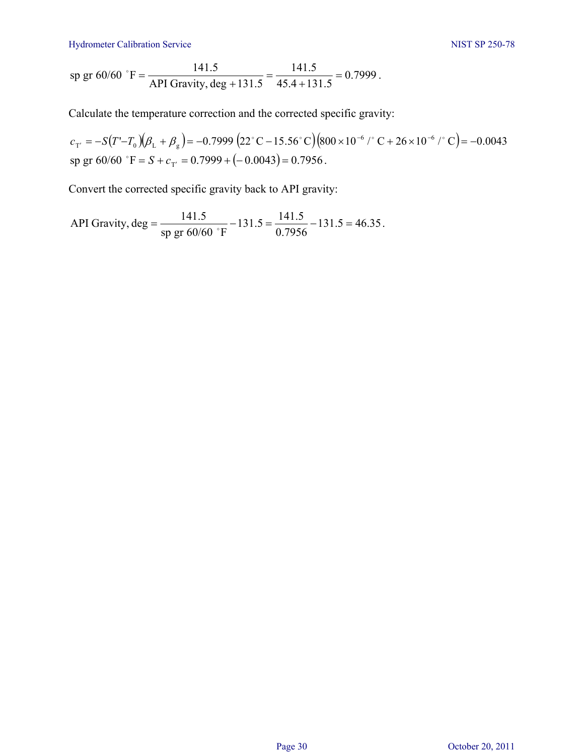Hydrometer Calibration Service NIST SP 250-78

sp gr 60/60 °F = 
$$
\frac{141.5}{API Gravity, deg + 131.5} = \frac{141.5}{45.4 + 131.5} = 0.7999.
$$

Calculate the temperature correction and the corrected specific gravity:

 $c_{\scriptscriptstyle T'} = - S\bigl( T'-T_0 \bigr) \bigl( \beta_{\scriptscriptstyle\rm L} + \beta_{\scriptscriptstyle\rm g} \bigr)$  =  $- 0.7999 \, \bigl( 22^\circ\, {\rm C} - 15.56^\circ\, {\rm C} \bigr) \bigl( 800 \times 10^{-6}\,$  /  $^\circ\, {\rm C} + 26 \times 10^{-6}\,$  /  $^\circ\, \rm C \bigr)$  =  $- 0.0043\,$ sp gr  $60/60$  °F =  $S + c_T$ ' = 0.7999 + (-0.0043) = 0.7956.

Convert the corrected specific gravity back to API gravity:

API Gravity, deg = 
$$
\frac{141.5}{\text{sp gr } 60/60 \text{°F}} - 131.5 = \frac{141.5}{0.7956} - 131.5 = 46.35
$$
.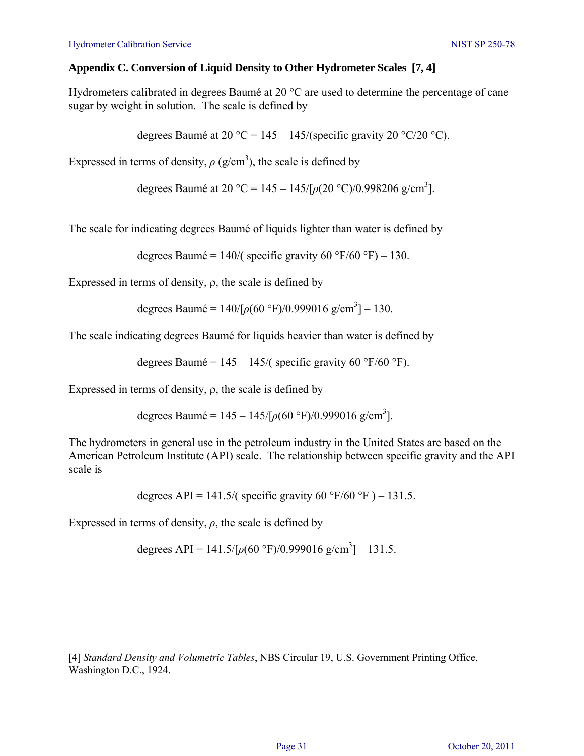### **Appendix C. Conversion of Liquid Density to Other Hydrometer Scales [7, 4]**

Hydrometers calibrated in degrees Baumé at 20 °C are used to determine the percentage of cane sugar by weight in solution. The scale is defined by

degrees Baumé at 20 °C = 145 – 145/(specific gravity 20 °C/20 °C).

Expressed in terms of density,  $\rho$  (g/cm<sup>3</sup>), the scale is defined by

degrees Baumé at 20 °C = 145 – 145/ $\lceil \rho(20 \text{ °C})/0.998206 \text{ g/cm}^3 \rceil$ .

The scale for indicating degrees Baumé of liquids lighter than water is defined by

degrees Baumé =  $140/$  specific gravity 60 °F/60 °F) – 130.

Expressed in terms of density,  $\rho$ , the scale is defined by

degrees Baumé =  $140/[p(60 \degree F)/0.999016 g/cm^3] - 130$ .

The scale indicating degrees Baumé for liquids heavier than water is defined by

degrees Baumé =  $145 - 145$ /( specific gravity 60 °F/60 °F).

Expressed in terms of density,  $\rho$ , the scale is defined by

degrees Baumé =  $145 - 145/[p(60 \degree F)/0.999016 g/cm^3]$ .

The hydrometers in general use in the petroleum industry in the United States are based on the American Petroleum Institute (API) scale. The relationship between specific gravity and the API scale is

degrees API = 141.5/( specific gravity 60 °F/60 °F) – 131.5.

Expressed in terms of density,  $\rho$ , the scale is defined by

degrees API =  $141.5/[p(60 \text{ °F})/0.999016 \text{ g/cm}^3] - 131.5$ .

a<br>B [4] *Standard Density and Volumetric Tables*, NBS Circular 19, U.S. Government Printing Office, Washington D.C., 1924.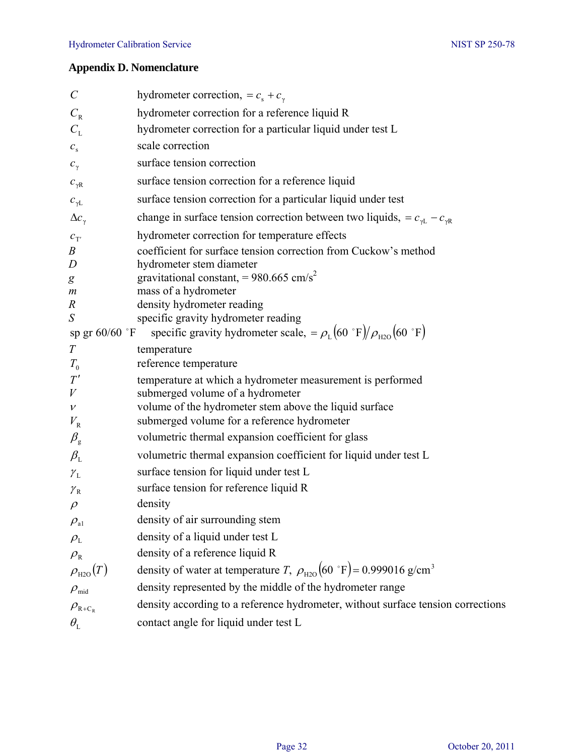## **Appendix D. Nomenclature**

| $\mathcal{C}_{0}^{(n)}$                      | hydrometer correction, = $c_s + c_\gamma$                                                      |
|----------------------------------------------|------------------------------------------------------------------------------------------------|
| $C_{\rm R}$                                  | hydrometer correction for a reference liquid R                                                 |
| $C_{\rm L}$                                  | hydrometer correction for a particular liquid under test L                                     |
| $c_{\rm s}$                                  | scale correction                                                                               |
| $c_{\gamma}$                                 | surface tension correction                                                                     |
| $c_{\gamma R}$                               | surface tension correction for a reference liquid                                              |
| $c_{\gamma \rm L}$                           | surface tension correction for a particular liquid under test                                  |
| $\Delta c_{\gamma}$                          | change in surface tension correction between two liquids, = $c_{\gamma L}$ – $c_{\gamma R}$    |
| $c_{\scriptscriptstyle T'}$                  | hydrometer correction for temperature effects                                                  |
| $\boldsymbol{B}$                             | coefficient for surface tension correction from Cuckow's method                                |
| D                                            | hydrometer stem diameter                                                                       |
| g<br>$\boldsymbol{m}$                        | gravitational constant, = $980.665$ cm/s <sup>2</sup><br>mass of a hydrometer                  |
| $\boldsymbol{R}$                             | density hydrometer reading                                                                     |
| ${\cal S}$                                   | specific gravity hydrometer reading                                                            |
| sp gr $60/60$ °F                             | specific gravity hydrometer scale, = $\rho_L$ (60 °F)/ $\rho_{H2O}$ (60 °F)                    |
| T                                            | temperature                                                                                    |
| $T_{0}$                                      | reference temperature                                                                          |
| T'                                           | temperature at which a hydrometer measurement is performed                                     |
| V<br>$\mathcal V$                            | submerged volume of a hydrometer<br>volume of the hydrometer stem above the liquid surface     |
| $V_{\rm R}$                                  | submerged volume for a reference hydrometer                                                    |
| $\beta_{\rm g}$                              | volumetric thermal expansion coefficient for glass                                             |
| $\beta_{\text{\tiny L}}$                     | volumetric thermal expansion coefficient for liquid under test L                               |
| $\gamma_{\rm L}$                             | surface tension for liquid under test L                                                        |
| ${\mathcal Y}_\mathrm{R}$                    | surface tension for reference liquid R                                                         |
| $\rho$                                       | density                                                                                        |
| $\rho_{\scriptscriptstyle{\text{a}1}}$       | density of air surrounding stem                                                                |
| $\rho_{\text{\tiny L}}$                      | density of a liquid under test L                                                               |
| $\rho_{\textrm{\tiny R}}$                    | density of a reference liquid R                                                                |
| $\rho_{\text{\tiny H2O}}(T)$                 | density of water at temperature T, $\rho_{\text{H2O}}(60 \text{°F}) = 0.999016 \text{ g/cm}^3$ |
| $\rho_{\rm mid}$                             | density represented by the middle of the hydrometer range                                      |
| $\rho_{\textrm{\tiny R+C}_\textrm{\tiny R}}$ | density according to a reference hydrometer, without surface tension corrections               |
| $\theta_{\text{\tiny L}}$                    | contact angle for liquid under test L                                                          |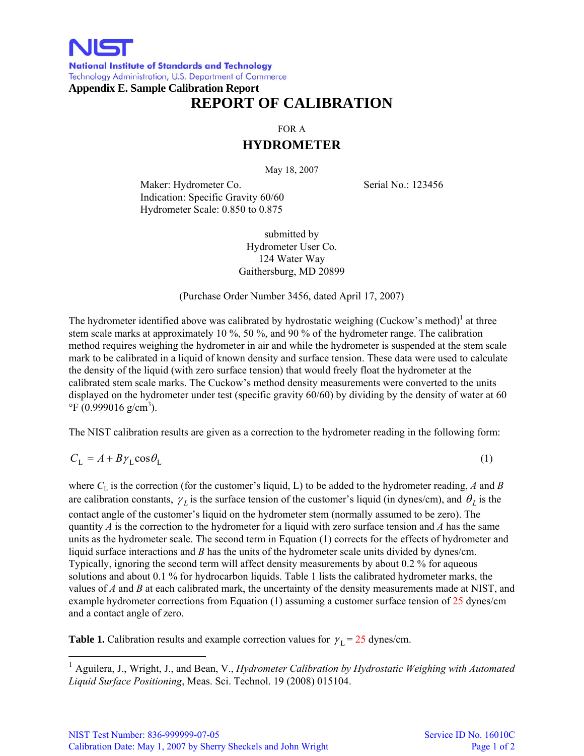

**National Institute of Standards and Technology** Technology Administration, U.S. Department of Commerce **Appendix E. Sample Calibration Report** 

# **REPORT OF CALIBRATION**

FOR A

## **HYDROMETER**

May 18, 2007

Maker: Hydrometer Co. Serial No.: 123456 Indication: Specific Gravity 60/60 Hydrometer Scale: 0.850 to 0.875

submitted by Hydrometer User Co. 124 Water Way Gaithersburg, MD 20899

(Purchase Order Number 3456, dated April 17, 2007)

The hydrometer identified above was calibrated by hydrostatic weighing (Cuckow's method) $\,$ <sup>1</sup> at three stem scale marks at approximately 10 %, 50 %, and 90 % of the hydrometer range. The calibration method requires weighing the hydrometer in air and while the hydrometer is suspended at the stem scale mark to be calibrated in a liquid of known density and surface tension. These data were used to calculate the density of the liquid (with zero surface tension) that would freely float the hydrometer at the calibrated stem scale marks. The Cuckow's method density measurements were converted to the units displayed on the hydrometer under test (specific gravity 60/60) by dividing by the density of water at 60  $\mathrm{^{\circ}F}$  (0.999016 g/cm<sup>3</sup>).

The NIST calibration results are given as a correction to the hydrometer reading in the following form:

$$
C_{\rm L} = A + B\gamma_{\rm L}\cos\theta_{\rm L} \tag{1}
$$

where  $C_L$  is the correction (for the customer's liquid, L) to be added to the hydrometer reading, *A* and *B* are calibration constants,  $\gamma_L$  is the surface tension of the customer's liquid (in dynes/cm), and  $\theta_L$  is the contact angle of the customer's liquid on the hydrometer stem (normally assumed to be zero). The quantity *A* is the correction to the hydrometer for a liquid with zero surface tension and *A* has the same units as the hydrometer scale. The second term in Equation (1) corrects for the effects of hydrometer and liquid surface interactions and *B* has the units of the hydrometer scale units divided by dynes/cm. Typically, ignoring the second term will affect density measurements by about 0.2 % for aqueous solutions and about 0.1 % for hydrocarbon liquids. Table 1 lists the calibrated hydrometer marks, the values of *A* and *B* at each calibrated mark, the uncertainty of the density measurements made at NIST, and example hydrometer corrections from Equation (1) assuming a customer surface tension of 25 dynes/cm and a contact angle of zero.

**Table 1.** Calibration results and example correction values for  $\gamma_L = 25$  dynes/cm.

<sup>1</sup> Aguilera, J., Wright, J., and Bean, V., *Hydrometer Calibration by Hydrostatic Weighing with Automated Liquid Surface Positioning*, Meas. Sci. Technol. 19 (2008) 015104.